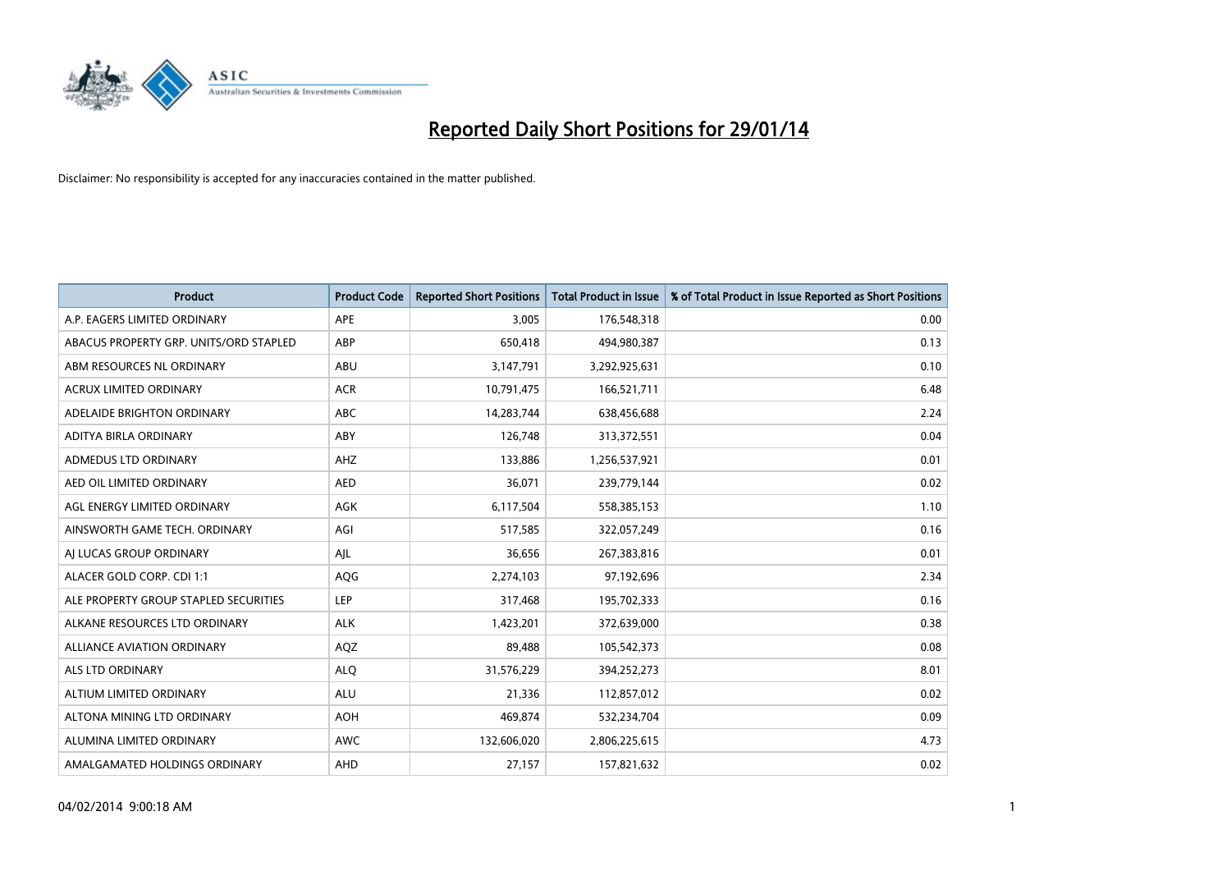

| Product                                | <b>Product Code</b> | <b>Reported Short Positions</b> | <b>Total Product in Issue</b> | % of Total Product in Issue Reported as Short Positions |
|----------------------------------------|---------------------|---------------------------------|-------------------------------|---------------------------------------------------------|
| A.P. EAGERS LIMITED ORDINARY           | <b>APE</b>          | 3,005                           | 176,548,318                   | 0.00                                                    |
| ABACUS PROPERTY GRP. UNITS/ORD STAPLED | ABP                 | 650,418                         | 494,980,387                   | 0.13                                                    |
| ABM RESOURCES NL ORDINARY              | ABU                 | 3,147,791                       | 3,292,925,631                 | 0.10                                                    |
| ACRUX LIMITED ORDINARY                 | <b>ACR</b>          | 10,791,475                      | 166,521,711                   | 6.48                                                    |
| ADELAIDE BRIGHTON ORDINARY             | <b>ABC</b>          | 14,283,744                      | 638,456,688                   | 2.24                                                    |
| ADITYA BIRLA ORDINARY                  | ABY                 | 126,748                         | 313,372,551                   | 0.04                                                    |
| ADMEDUS LTD ORDINARY                   | AHZ                 | 133,886                         | 1,256,537,921                 | 0.01                                                    |
| AED OIL LIMITED ORDINARY               | <b>AED</b>          | 36,071                          | 239,779,144                   | 0.02                                                    |
| AGL ENERGY LIMITED ORDINARY            | <b>AGK</b>          | 6,117,504                       | 558,385,153                   | 1.10                                                    |
| AINSWORTH GAME TECH. ORDINARY          | AGI                 | 517,585                         | 322,057,249                   | 0.16                                                    |
| AI LUCAS GROUP ORDINARY                | AJL                 | 36,656                          | 267,383,816                   | 0.01                                                    |
| ALACER GOLD CORP. CDI 1:1              | AQG                 | 2,274,103                       | 97,192,696                    | 2.34                                                    |
| ALE PROPERTY GROUP STAPLED SECURITIES  | <b>LEP</b>          | 317,468                         | 195,702,333                   | 0.16                                                    |
| ALKANE RESOURCES LTD ORDINARY          | <b>ALK</b>          | 1,423,201                       | 372,639,000                   | 0.38                                                    |
| ALLIANCE AVIATION ORDINARY             | AQZ                 | 89,488                          | 105,542,373                   | 0.08                                                    |
| ALS LTD ORDINARY                       | <b>ALO</b>          | 31,576,229                      | 394,252,273                   | 8.01                                                    |
| ALTIUM LIMITED ORDINARY                | <b>ALU</b>          | 21,336                          | 112,857,012                   | 0.02                                                    |
| ALTONA MINING LTD ORDINARY             | <b>AOH</b>          | 469,874                         | 532,234,704                   | 0.09                                                    |
| ALUMINA LIMITED ORDINARY               | <b>AWC</b>          | 132,606,020                     | 2,806,225,615                 | 4.73                                                    |
| AMALGAMATED HOLDINGS ORDINARY          | AHD                 | 27,157                          | 157,821,632                   | 0.02                                                    |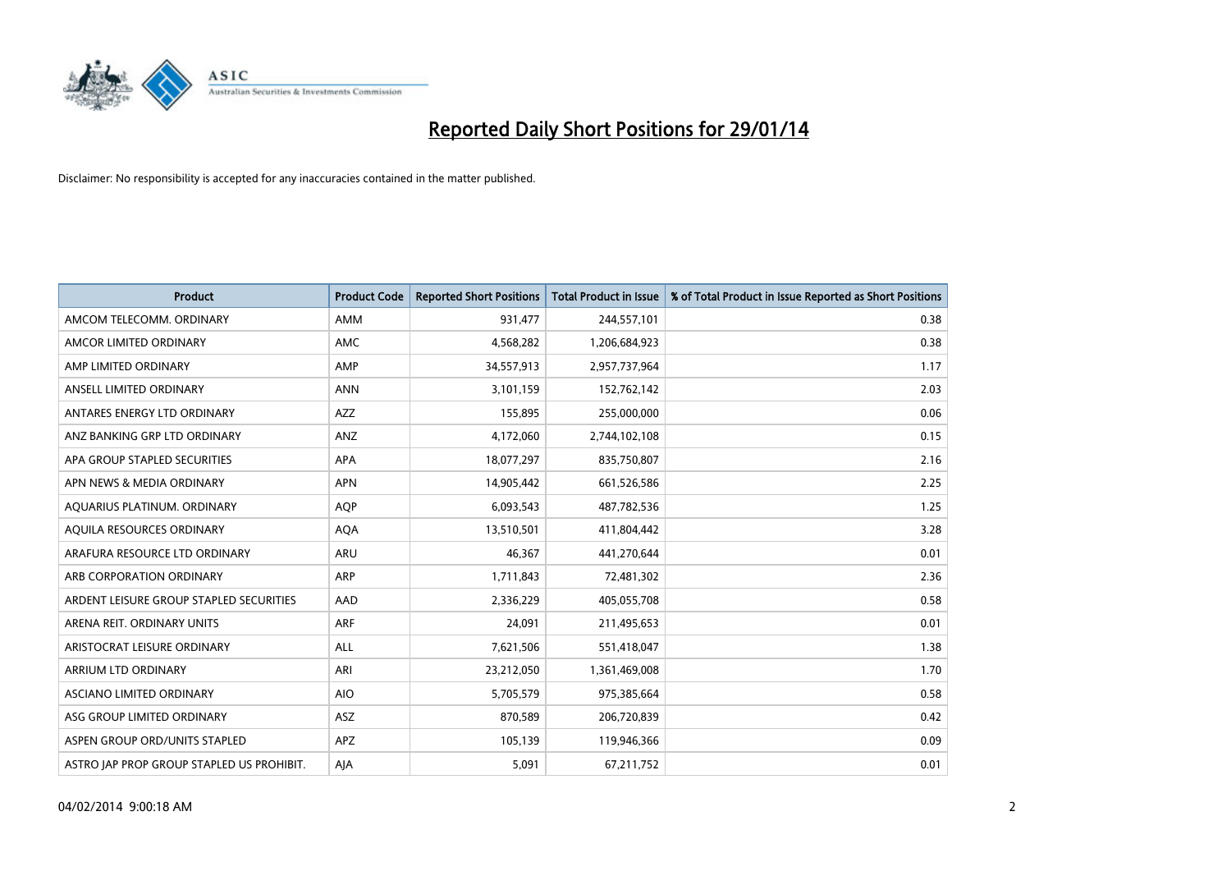

| <b>Product</b>                            | <b>Product Code</b> | <b>Reported Short Positions</b> | <b>Total Product in Issue</b> | % of Total Product in Issue Reported as Short Positions |
|-------------------------------------------|---------------------|---------------------------------|-------------------------------|---------------------------------------------------------|
| AMCOM TELECOMM, ORDINARY                  | <b>AMM</b>          | 931,477                         | 244,557,101                   | 0.38                                                    |
| AMCOR LIMITED ORDINARY                    | AMC                 | 4,568,282                       | 1,206,684,923                 | 0.38                                                    |
| AMP LIMITED ORDINARY                      | AMP                 | 34,557,913                      | 2,957,737,964                 | 1.17                                                    |
| ANSELL LIMITED ORDINARY                   | <b>ANN</b>          | 3,101,159                       | 152,762,142                   | 2.03                                                    |
| ANTARES ENERGY LTD ORDINARY               | <b>AZZ</b>          | 155,895                         | 255,000,000                   | 0.06                                                    |
| ANZ BANKING GRP LTD ORDINARY              | ANZ                 | 4,172,060                       | 2,744,102,108                 | 0.15                                                    |
| APA GROUP STAPLED SECURITIES              | APA                 | 18,077,297                      | 835,750,807                   | 2.16                                                    |
| APN NEWS & MEDIA ORDINARY                 | <b>APN</b>          | 14,905,442                      | 661,526,586                   | 2.25                                                    |
| AQUARIUS PLATINUM. ORDINARY               | <b>AOP</b>          | 6,093,543                       | 487,782,536                   | 1.25                                                    |
| AQUILA RESOURCES ORDINARY                 | <b>AQA</b>          | 13,510,501                      | 411,804,442                   | 3.28                                                    |
| ARAFURA RESOURCE LTD ORDINARY             | ARU                 | 46,367                          | 441,270,644                   | 0.01                                                    |
| ARB CORPORATION ORDINARY                  | <b>ARP</b>          | 1,711,843                       | 72,481,302                    | 2.36                                                    |
| ARDENT LEISURE GROUP STAPLED SECURITIES   | AAD                 | 2,336,229                       | 405,055,708                   | 0.58                                                    |
| ARENA REIT. ORDINARY UNITS                | ARF                 | 24,091                          | 211,495,653                   | 0.01                                                    |
| ARISTOCRAT LEISURE ORDINARY               | <b>ALL</b>          | 7,621,506                       | 551,418,047                   | 1.38                                                    |
| ARRIUM LTD ORDINARY                       | ARI                 | 23,212,050                      | 1,361,469,008                 | 1.70                                                    |
| ASCIANO LIMITED ORDINARY                  | <b>AIO</b>          | 5,705,579                       | 975,385,664                   | 0.58                                                    |
| ASG GROUP LIMITED ORDINARY                | <b>ASZ</b>          | 870,589                         | 206,720,839                   | 0.42                                                    |
| ASPEN GROUP ORD/UNITS STAPLED             | <b>APZ</b>          | 105,139                         | 119,946,366                   | 0.09                                                    |
| ASTRO JAP PROP GROUP STAPLED US PROHIBIT. | AJA                 | 5,091                           | 67,211,752                    | 0.01                                                    |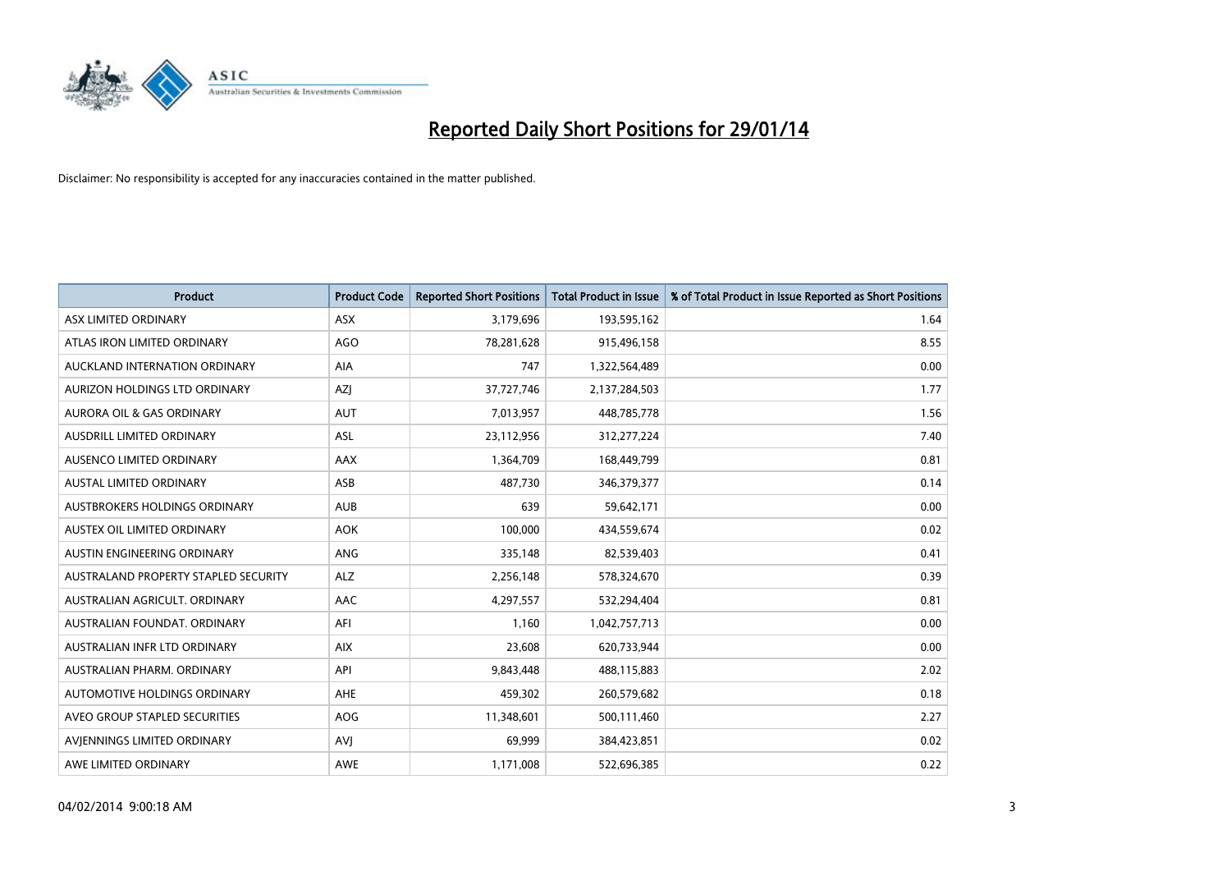

| <b>Product</b>                       | <b>Product Code</b> | <b>Reported Short Positions</b> | <b>Total Product in Issue</b> | % of Total Product in Issue Reported as Short Positions |
|--------------------------------------|---------------------|---------------------------------|-------------------------------|---------------------------------------------------------|
| ASX LIMITED ORDINARY                 | <b>ASX</b>          | 3,179,696                       | 193,595,162                   | 1.64                                                    |
| ATLAS IRON LIMITED ORDINARY          | <b>AGO</b>          | 78,281,628                      | 915,496,158                   | 8.55                                                    |
| AUCKLAND INTERNATION ORDINARY        | <b>AIA</b>          | 747                             | 1,322,564,489                 | 0.00                                                    |
| AURIZON HOLDINGS LTD ORDINARY        | AZJ                 | 37,727,746                      | 2,137,284,503                 | 1.77                                                    |
| <b>AURORA OIL &amp; GAS ORDINARY</b> | <b>AUT</b>          | 7,013,957                       | 448,785,778                   | 1.56                                                    |
| AUSDRILL LIMITED ORDINARY            | <b>ASL</b>          | 23,112,956                      | 312,277,224                   | 7.40                                                    |
| AUSENCO LIMITED ORDINARY             | AAX                 | 1,364,709                       | 168,449,799                   | 0.81                                                    |
| AUSTAL LIMITED ORDINARY              | ASB                 | 487,730                         | 346,379,377                   | 0.14                                                    |
| AUSTBROKERS HOLDINGS ORDINARY        | <b>AUB</b>          | 639                             | 59,642,171                    | 0.00                                                    |
| AUSTEX OIL LIMITED ORDINARY          | <b>AOK</b>          | 100,000                         | 434,559,674                   | 0.02                                                    |
| AUSTIN ENGINEERING ORDINARY          | ANG                 | 335,148                         | 82,539,403                    | 0.41                                                    |
| AUSTRALAND PROPERTY STAPLED SECURITY | <b>ALZ</b>          | 2,256,148                       | 578,324,670                   | 0.39                                                    |
| AUSTRALIAN AGRICULT. ORDINARY        | AAC                 | 4,297,557                       | 532,294,404                   | 0.81                                                    |
| AUSTRALIAN FOUNDAT, ORDINARY         | AFI                 | 1,160                           | 1,042,757,713                 | 0.00                                                    |
| AUSTRALIAN INFR LTD ORDINARY         | <b>AIX</b>          | 23,608                          | 620,733,944                   | 0.00                                                    |
| AUSTRALIAN PHARM. ORDINARY           | API                 | 9,843,448                       | 488,115,883                   | 2.02                                                    |
| AUTOMOTIVE HOLDINGS ORDINARY         | AHE                 | 459,302                         | 260,579,682                   | 0.18                                                    |
| AVEO GROUP STAPLED SECURITIES        | <b>AOG</b>          | 11,348,601                      | 500,111,460                   | 2.27                                                    |
| AVIENNINGS LIMITED ORDINARY          | AVI                 | 69,999                          | 384,423,851                   | 0.02                                                    |
| AWE LIMITED ORDINARY                 | <b>AWE</b>          | 1,171,008                       | 522,696,385                   | 0.22                                                    |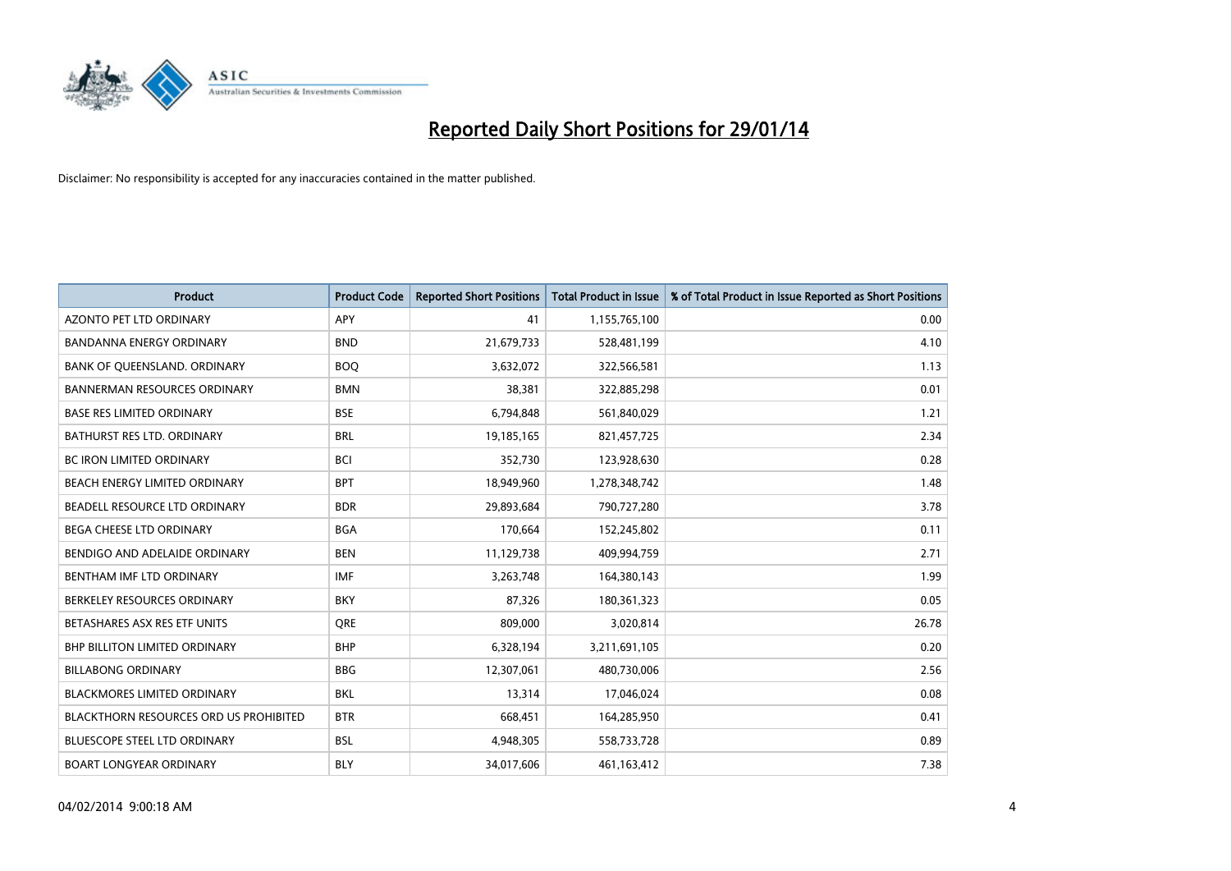

| <b>Product</b>                                | <b>Product Code</b> | <b>Reported Short Positions</b> | <b>Total Product in Issue</b> | % of Total Product in Issue Reported as Short Positions |
|-----------------------------------------------|---------------------|---------------------------------|-------------------------------|---------------------------------------------------------|
| <b>AZONTO PET LTD ORDINARY</b>                | <b>APY</b>          | 41                              | 1,155,765,100                 | 0.00                                                    |
| BANDANNA ENERGY ORDINARY                      | <b>BND</b>          | 21,679,733                      | 528,481,199                   | 4.10                                                    |
| BANK OF QUEENSLAND. ORDINARY                  | <b>BOQ</b>          | 3,632,072                       | 322,566,581                   | 1.13                                                    |
| <b>BANNERMAN RESOURCES ORDINARY</b>           | <b>BMN</b>          | 38,381                          | 322,885,298                   | 0.01                                                    |
| <b>BASE RES LIMITED ORDINARY</b>              | <b>BSE</b>          | 6,794,848                       | 561,840,029                   | 1.21                                                    |
| BATHURST RES LTD. ORDINARY                    | <b>BRL</b>          | 19,185,165                      | 821,457,725                   | 2.34                                                    |
| <b>BC IRON LIMITED ORDINARY</b>               | <b>BCI</b>          | 352,730                         | 123,928,630                   | 0.28                                                    |
| BEACH ENERGY LIMITED ORDINARY                 | <b>BPT</b>          | 18,949,960                      | 1,278,348,742                 | 1.48                                                    |
| BEADELL RESOURCE LTD ORDINARY                 | <b>BDR</b>          | 29,893,684                      | 790,727,280                   | 3.78                                                    |
| <b>BEGA CHEESE LTD ORDINARY</b>               | <b>BGA</b>          | 170,664                         | 152,245,802                   | 0.11                                                    |
| BENDIGO AND ADELAIDE ORDINARY                 | <b>BEN</b>          | 11,129,738                      | 409,994,759                   | 2.71                                                    |
| BENTHAM IMF LTD ORDINARY                      | <b>IMF</b>          | 3,263,748                       | 164,380,143                   | 1.99                                                    |
| BERKELEY RESOURCES ORDINARY                   | <b>BKY</b>          | 87,326                          | 180,361,323                   | 0.05                                                    |
| BETASHARES ASX RES ETF UNITS                  | <b>ORE</b>          | 809,000                         | 3,020,814                     | 26.78                                                   |
| <b>BHP BILLITON LIMITED ORDINARY</b>          | <b>BHP</b>          | 6,328,194                       | 3,211,691,105                 | 0.20                                                    |
| <b>BILLABONG ORDINARY</b>                     | <b>BBG</b>          | 12,307,061                      | 480,730,006                   | 2.56                                                    |
| BLACKMORES LIMITED ORDINARY                   | <b>BKL</b>          | 13,314                          | 17,046,024                    | 0.08                                                    |
| <b>BLACKTHORN RESOURCES ORD US PROHIBITED</b> | <b>BTR</b>          | 668,451                         | 164,285,950                   | 0.41                                                    |
| <b>BLUESCOPE STEEL LTD ORDINARY</b>           | <b>BSL</b>          | 4,948,305                       | 558,733,728                   | 0.89                                                    |
| <b>BOART LONGYEAR ORDINARY</b>                | <b>BLY</b>          | 34,017,606                      | 461,163,412                   | 7.38                                                    |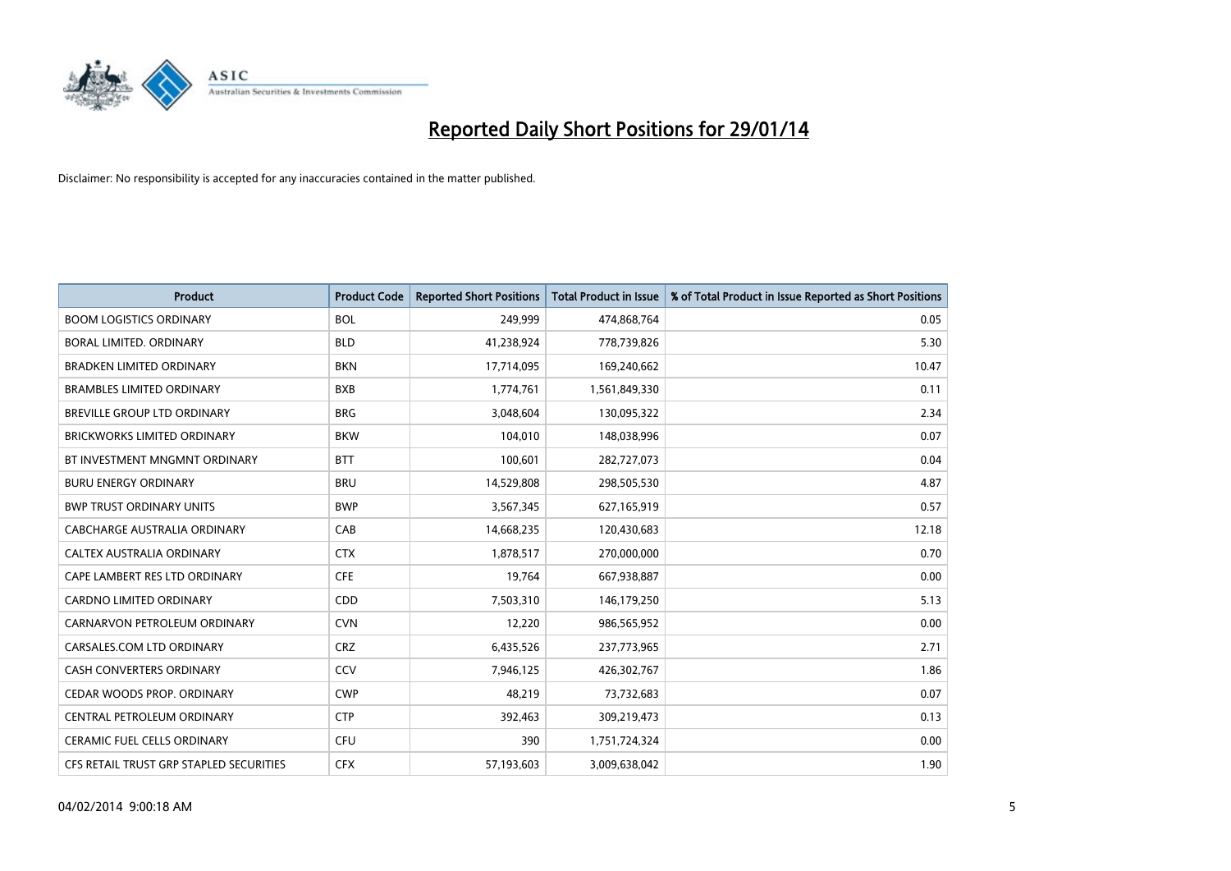

| <b>Product</b>                          | <b>Product Code</b> | <b>Reported Short Positions</b> | <b>Total Product in Issue</b> | % of Total Product in Issue Reported as Short Positions |
|-----------------------------------------|---------------------|---------------------------------|-------------------------------|---------------------------------------------------------|
| <b>BOOM LOGISTICS ORDINARY</b>          | <b>BOL</b>          | 249,999                         | 474,868,764                   | 0.05                                                    |
| <b>BORAL LIMITED, ORDINARY</b>          | <b>BLD</b>          | 41,238,924                      | 778,739,826                   | 5.30                                                    |
| <b>BRADKEN LIMITED ORDINARY</b>         | <b>BKN</b>          | 17,714,095                      | 169,240,662                   | 10.47                                                   |
| <b>BRAMBLES LIMITED ORDINARY</b>        | <b>BXB</b>          | 1,774,761                       | 1,561,849,330                 | 0.11                                                    |
| BREVILLE GROUP LTD ORDINARY             | <b>BRG</b>          | 3,048,604                       | 130,095,322                   | 2.34                                                    |
| <b>BRICKWORKS LIMITED ORDINARY</b>      | <b>BKW</b>          | 104,010                         | 148,038,996                   | 0.07                                                    |
| BT INVESTMENT MNGMNT ORDINARY           | <b>BTT</b>          | 100,601                         | 282,727,073                   | 0.04                                                    |
| <b>BURU ENERGY ORDINARY</b>             | <b>BRU</b>          | 14,529,808                      | 298,505,530                   | 4.87                                                    |
| <b>BWP TRUST ORDINARY UNITS</b>         | <b>BWP</b>          | 3,567,345                       | 627,165,919                   | 0.57                                                    |
| CABCHARGE AUSTRALIA ORDINARY            | CAB                 | 14,668,235                      | 120,430,683                   | 12.18                                                   |
| CALTEX AUSTRALIA ORDINARY               | <b>CTX</b>          | 1,878,517                       | 270,000,000                   | 0.70                                                    |
| CAPE LAMBERT RES LTD ORDINARY           | <b>CFE</b>          | 19,764                          | 667,938,887                   | 0.00                                                    |
| CARDNO LIMITED ORDINARY                 | CDD                 | 7,503,310                       | 146,179,250                   | 5.13                                                    |
| CARNARVON PETROLEUM ORDINARY            | <b>CVN</b>          | 12,220                          | 986,565,952                   | 0.00                                                    |
| CARSALES.COM LTD ORDINARY               | <b>CRZ</b>          | 6,435,526                       | 237,773,965                   | 2.71                                                    |
| CASH CONVERTERS ORDINARY                | CCV                 | 7,946,125                       | 426,302,767                   | 1.86                                                    |
| CEDAR WOODS PROP. ORDINARY              | <b>CWP</b>          | 48,219                          | 73,732,683                    | 0.07                                                    |
| CENTRAL PETROLEUM ORDINARY              | <b>CTP</b>          | 392,463                         | 309,219,473                   | 0.13                                                    |
| <b>CERAMIC FUEL CELLS ORDINARY</b>      | <b>CFU</b>          | 390                             | 1,751,724,324                 | 0.00                                                    |
| CFS RETAIL TRUST GRP STAPLED SECURITIES | <b>CFX</b>          | 57,193,603                      | 3,009,638,042                 | 1.90                                                    |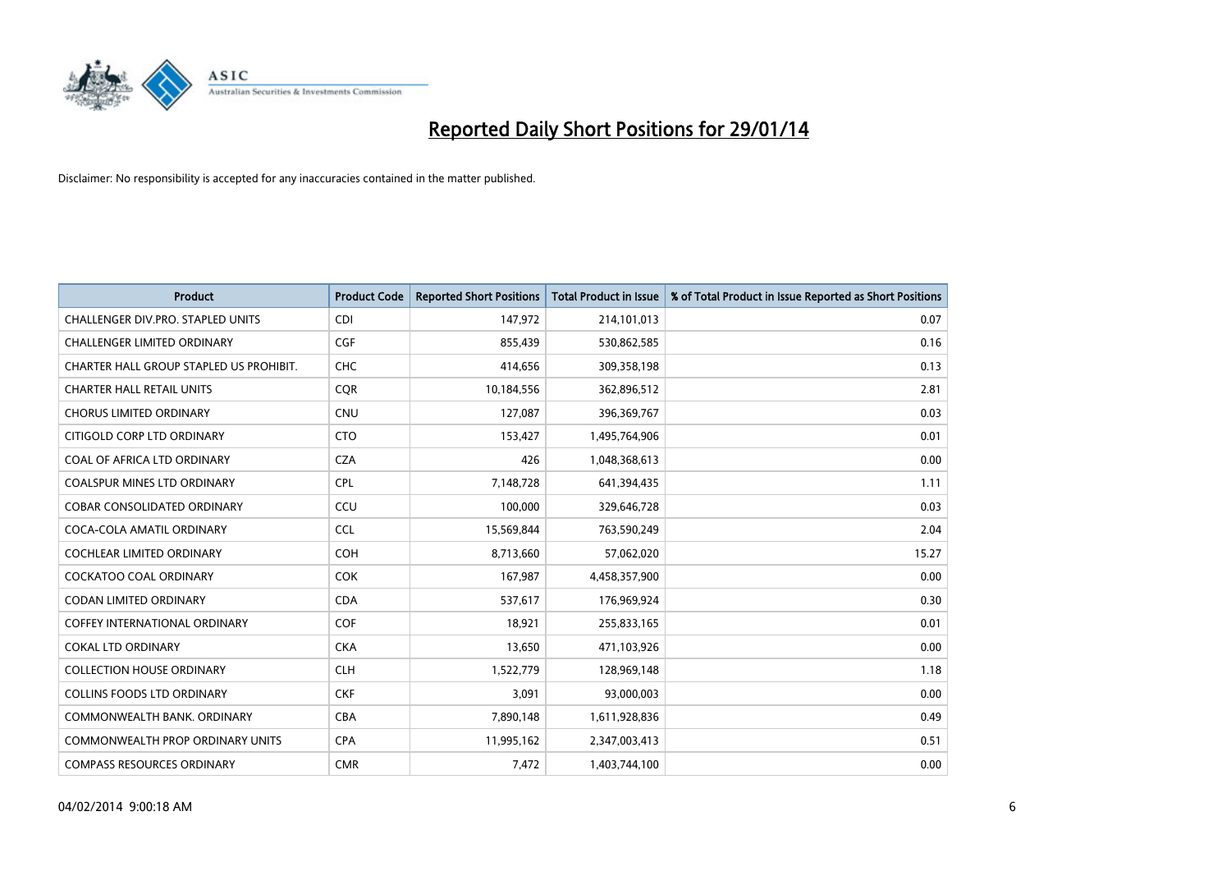

| <b>Product</b>                          | <b>Product Code</b> | <b>Reported Short Positions</b> | <b>Total Product in Issue</b> | % of Total Product in Issue Reported as Short Positions |
|-----------------------------------------|---------------------|---------------------------------|-------------------------------|---------------------------------------------------------|
| CHALLENGER DIV.PRO. STAPLED UNITS       | <b>CDI</b>          | 147,972                         | 214,101,013                   | 0.07                                                    |
| <b>CHALLENGER LIMITED ORDINARY</b>      | <b>CGF</b>          | 855,439                         | 530,862,585                   | 0.16                                                    |
| CHARTER HALL GROUP STAPLED US PROHIBIT. | <b>CHC</b>          | 414,656                         | 309,358,198                   | 0.13                                                    |
| <b>CHARTER HALL RETAIL UNITS</b>        | <b>COR</b>          | 10,184,556                      | 362,896,512                   | 2.81                                                    |
| <b>CHORUS LIMITED ORDINARY</b>          | <b>CNU</b>          | 127,087                         | 396,369,767                   | 0.03                                                    |
| CITIGOLD CORP LTD ORDINARY              | <b>CTO</b>          | 153,427                         | 1,495,764,906                 | 0.01                                                    |
| COAL OF AFRICA LTD ORDINARY             | <b>CZA</b>          | 426                             | 1,048,368,613                 | 0.00                                                    |
| <b>COALSPUR MINES LTD ORDINARY</b>      | <b>CPL</b>          | 7,148,728                       | 641,394,435                   | 1.11                                                    |
| <b>COBAR CONSOLIDATED ORDINARY</b>      | CCU                 | 100,000                         | 329,646,728                   | 0.03                                                    |
| COCA-COLA AMATIL ORDINARY               | <b>CCL</b>          | 15,569,844                      | 763,590,249                   | 2.04                                                    |
| COCHLEAR LIMITED ORDINARY               | <b>COH</b>          | 8,713,660                       | 57,062,020                    | 15.27                                                   |
| <b>COCKATOO COAL ORDINARY</b>           | <b>COK</b>          | 167,987                         | 4,458,357,900                 | 0.00                                                    |
| <b>CODAN LIMITED ORDINARY</b>           | <b>CDA</b>          | 537,617                         | 176,969,924                   | 0.30                                                    |
| <b>COFFEY INTERNATIONAL ORDINARY</b>    | <b>COF</b>          | 18,921                          | 255,833,165                   | 0.01                                                    |
| <b>COKAL LTD ORDINARY</b>               | <b>CKA</b>          | 13,650                          | 471,103,926                   | 0.00                                                    |
| <b>COLLECTION HOUSE ORDINARY</b>        | <b>CLH</b>          | 1,522,779                       | 128,969,148                   | 1.18                                                    |
| <b>COLLINS FOODS LTD ORDINARY</b>       | <b>CKF</b>          | 3,091                           | 93,000,003                    | 0.00                                                    |
| COMMONWEALTH BANK, ORDINARY             | <b>CBA</b>          | 7,890,148                       | 1,611,928,836                 | 0.49                                                    |
| <b>COMMONWEALTH PROP ORDINARY UNITS</b> | <b>CPA</b>          | 11,995,162                      | 2,347,003,413                 | 0.51                                                    |
| <b>COMPASS RESOURCES ORDINARY</b>       | <b>CMR</b>          | 7,472                           | 1,403,744,100                 | 0.00                                                    |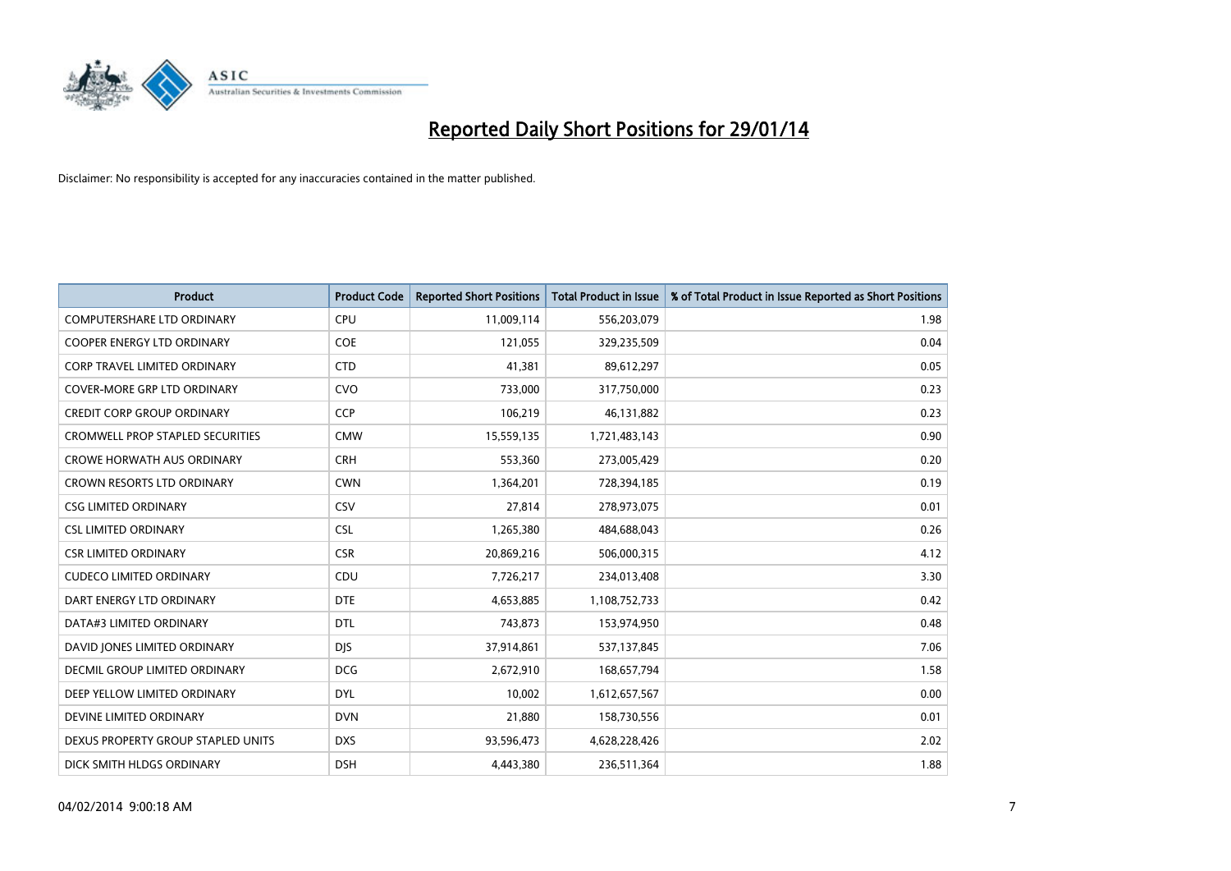

| <b>Product</b>                          | <b>Product Code</b> | <b>Reported Short Positions</b> | <b>Total Product in Issue</b> | % of Total Product in Issue Reported as Short Positions |
|-----------------------------------------|---------------------|---------------------------------|-------------------------------|---------------------------------------------------------|
| <b>COMPUTERSHARE LTD ORDINARY</b>       | <b>CPU</b>          | 11,009,114                      | 556,203,079                   | 1.98                                                    |
| COOPER ENERGY LTD ORDINARY              | <b>COE</b>          | 121,055                         | 329,235,509                   | 0.04                                                    |
| <b>CORP TRAVEL LIMITED ORDINARY</b>     | <b>CTD</b>          | 41,381                          | 89,612,297                    | 0.05                                                    |
| COVER-MORE GRP LTD ORDINARY             | <b>CVO</b>          | 733,000                         | 317,750,000                   | 0.23                                                    |
| <b>CREDIT CORP GROUP ORDINARY</b>       | <b>CCP</b>          | 106,219                         | 46,131,882                    | 0.23                                                    |
| <b>CROMWELL PROP STAPLED SECURITIES</b> | <b>CMW</b>          | 15,559,135                      | 1,721,483,143                 | 0.90                                                    |
| <b>CROWE HORWATH AUS ORDINARY</b>       | <b>CRH</b>          | 553,360                         | 273,005,429                   | 0.20                                                    |
| CROWN RESORTS LTD ORDINARY              | <b>CWN</b>          | 1,364,201                       | 728,394,185                   | 0.19                                                    |
| <b>CSG LIMITED ORDINARY</b>             | CSV                 | 27,814                          | 278,973,075                   | 0.01                                                    |
| <b>CSL LIMITED ORDINARY</b>             | <b>CSL</b>          | 1,265,380                       | 484,688,043                   | 0.26                                                    |
| <b>CSR LIMITED ORDINARY</b>             | <b>CSR</b>          | 20,869,216                      | 506,000,315                   | 4.12                                                    |
| <b>CUDECO LIMITED ORDINARY</b>          | CDU                 | 7,726,217                       | 234,013,408                   | 3.30                                                    |
| DART ENERGY LTD ORDINARY                | <b>DTE</b>          | 4,653,885                       | 1,108,752,733                 | 0.42                                                    |
| DATA#3 LIMITED ORDINARY                 | <b>DTL</b>          | 743,873                         | 153,974,950                   | 0.48                                                    |
| DAVID JONES LIMITED ORDINARY            | <b>DJS</b>          | 37,914,861                      | 537,137,845                   | 7.06                                                    |
| DECMIL GROUP LIMITED ORDINARY           | <b>DCG</b>          | 2,672,910                       | 168,657,794                   | 1.58                                                    |
| DEEP YELLOW LIMITED ORDINARY            | <b>DYL</b>          | 10,002                          | 1,612,657,567                 | 0.00                                                    |
| DEVINE LIMITED ORDINARY                 | <b>DVN</b>          | 21,880                          | 158,730,556                   | 0.01                                                    |
| DEXUS PROPERTY GROUP STAPLED UNITS      | <b>DXS</b>          | 93,596,473                      | 4,628,228,426                 | 2.02                                                    |
| DICK SMITH HLDGS ORDINARY               | <b>DSH</b>          | 4,443,380                       | 236,511,364                   | 1.88                                                    |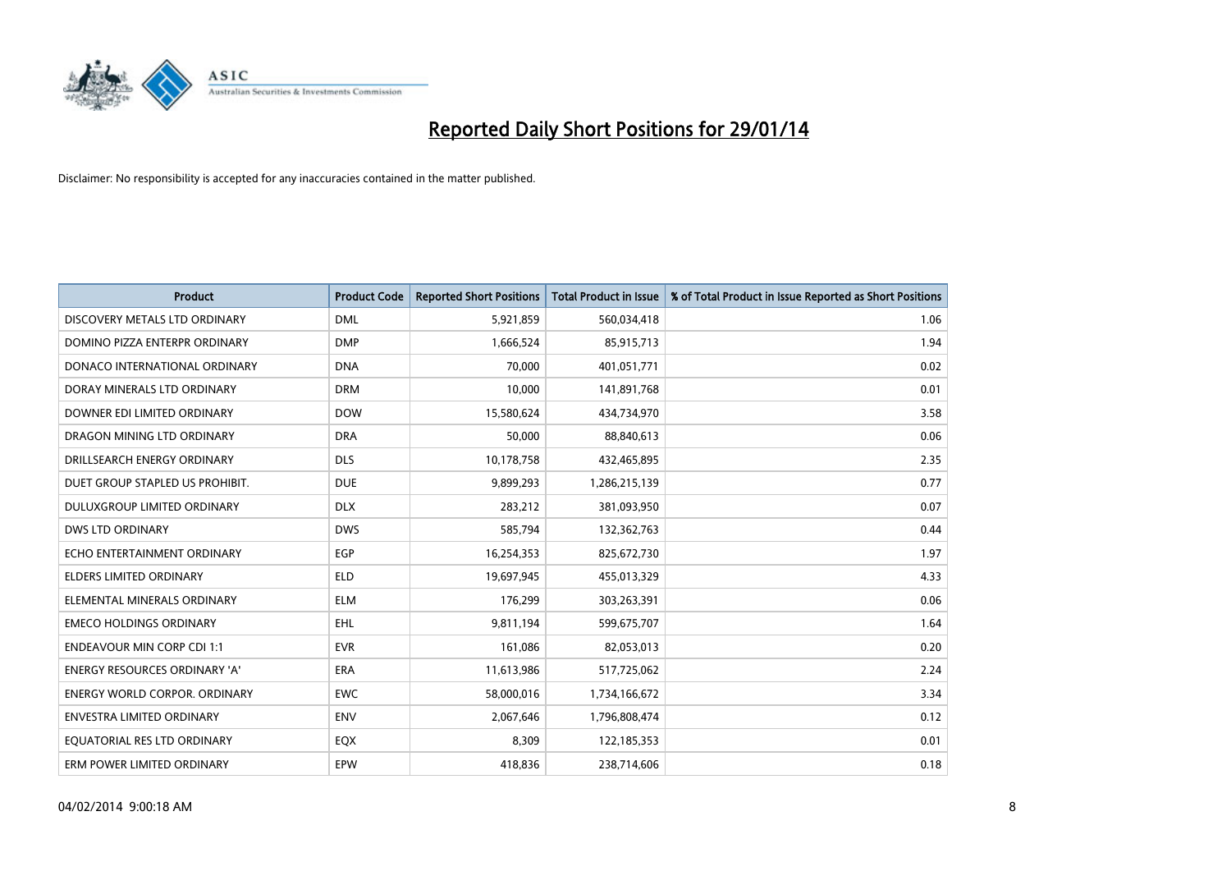

| <b>Product</b>                       | <b>Product Code</b> | <b>Reported Short Positions</b> | <b>Total Product in Issue</b> | % of Total Product in Issue Reported as Short Positions |
|--------------------------------------|---------------------|---------------------------------|-------------------------------|---------------------------------------------------------|
| DISCOVERY METALS LTD ORDINARY        | <b>DML</b>          | 5,921,859                       | 560,034,418                   | 1.06                                                    |
| DOMINO PIZZA ENTERPR ORDINARY        | <b>DMP</b>          | 1,666,524                       | 85,915,713                    | 1.94                                                    |
| DONACO INTERNATIONAL ORDINARY        | <b>DNA</b>          | 70,000                          | 401,051,771                   | 0.02                                                    |
| DORAY MINERALS LTD ORDINARY          | <b>DRM</b>          | 10,000                          | 141,891,768                   | 0.01                                                    |
| DOWNER EDI LIMITED ORDINARY          | <b>DOW</b>          | 15,580,624                      | 434,734,970                   | 3.58                                                    |
| DRAGON MINING LTD ORDINARY           | <b>DRA</b>          | 50,000                          | 88,840,613                    | 0.06                                                    |
| DRILLSEARCH ENERGY ORDINARY          | <b>DLS</b>          | 10,178,758                      | 432,465,895                   | 2.35                                                    |
| DUET GROUP STAPLED US PROHIBIT.      | <b>DUE</b>          | 9,899,293                       | 1,286,215,139                 | 0.77                                                    |
| DULUXGROUP LIMITED ORDINARY          | <b>DLX</b>          | 283,212                         | 381,093,950                   | 0.07                                                    |
| <b>DWS LTD ORDINARY</b>              | <b>DWS</b>          | 585,794                         | 132,362,763                   | 0.44                                                    |
| ECHO ENTERTAINMENT ORDINARY          | <b>EGP</b>          | 16,254,353                      | 825,672,730                   | 1.97                                                    |
| <b>ELDERS LIMITED ORDINARY</b>       | <b>ELD</b>          | 19,697,945                      | 455,013,329                   | 4.33                                                    |
| ELEMENTAL MINERALS ORDINARY          | <b>ELM</b>          | 176,299                         | 303,263,391                   | 0.06                                                    |
| <b>EMECO HOLDINGS ORDINARY</b>       | EHL                 | 9,811,194                       | 599,675,707                   | 1.64                                                    |
| <b>ENDEAVOUR MIN CORP CDI 1:1</b>    | <b>EVR</b>          | 161,086                         | 82,053,013                    | 0.20                                                    |
| <b>ENERGY RESOURCES ORDINARY 'A'</b> | ERA                 | 11,613,986                      | 517,725,062                   | 2.24                                                    |
| <b>ENERGY WORLD CORPOR. ORDINARY</b> | <b>EWC</b>          | 58,000,016                      | 1,734,166,672                 | 3.34                                                    |
| ENVESTRA LIMITED ORDINARY            | <b>ENV</b>          | 2,067,646                       | 1,796,808,474                 | 0.12                                                    |
| EQUATORIAL RES LTD ORDINARY          | EQX                 | 8,309                           | 122,185,353                   | 0.01                                                    |
| ERM POWER LIMITED ORDINARY           | EPW                 | 418,836                         | 238,714,606                   | 0.18                                                    |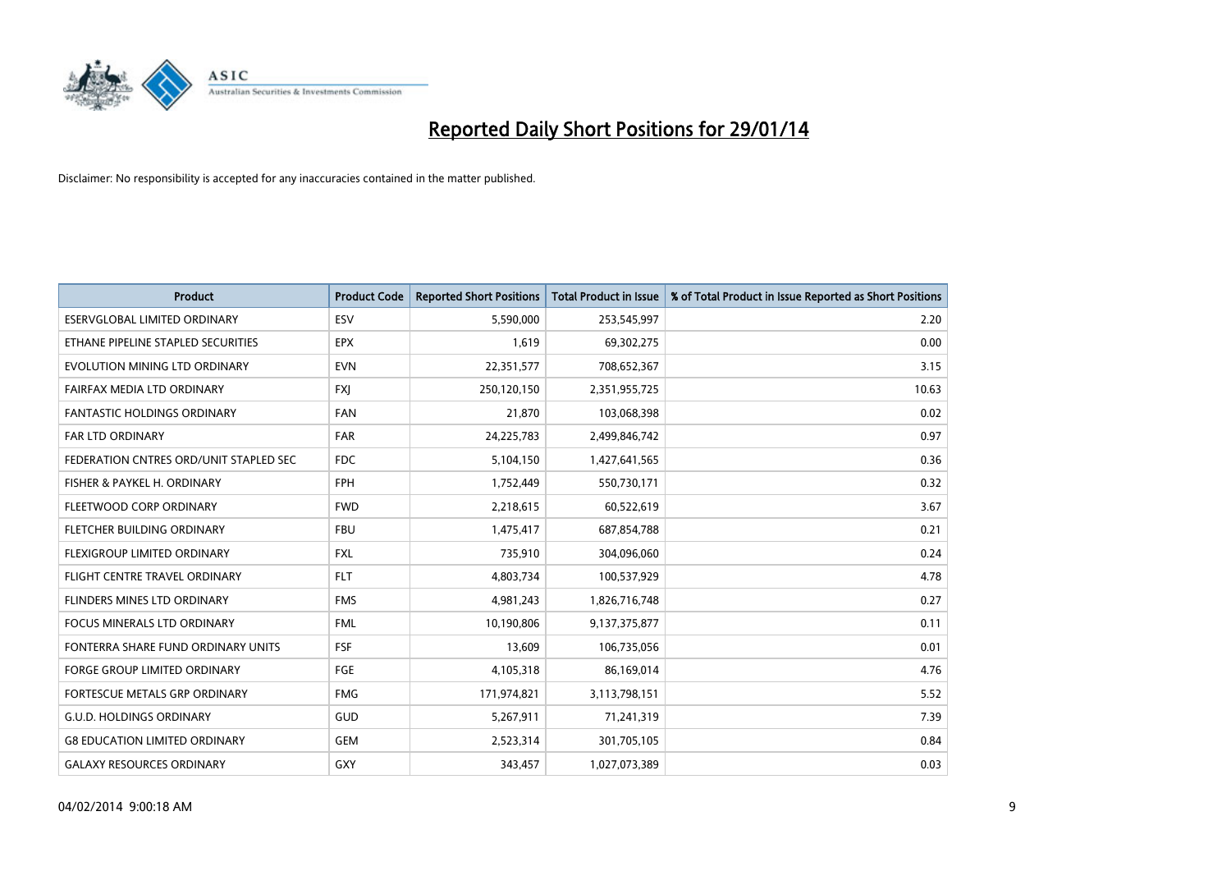

| <b>Product</b>                         | <b>Product Code</b> | <b>Reported Short Positions</b> | <b>Total Product in Issue</b> | % of Total Product in Issue Reported as Short Positions |
|----------------------------------------|---------------------|---------------------------------|-------------------------------|---------------------------------------------------------|
| <b>ESERVGLOBAL LIMITED ORDINARY</b>    | ESV                 | 5,590,000                       | 253,545,997                   | 2.20                                                    |
| ETHANE PIPELINE STAPLED SECURITIES     | <b>EPX</b>          | 1,619                           | 69,302,275                    | 0.00                                                    |
| EVOLUTION MINING LTD ORDINARY          | <b>EVN</b>          | 22,351,577                      | 708,652,367                   | 3.15                                                    |
| FAIRFAX MEDIA LTD ORDINARY             | <b>FXJ</b>          | 250,120,150                     | 2,351,955,725                 | 10.63                                                   |
| <b>FANTASTIC HOLDINGS ORDINARY</b>     | <b>FAN</b>          | 21,870                          | 103,068,398                   | 0.02                                                    |
| <b>FAR LTD ORDINARY</b>                | <b>FAR</b>          | 24,225,783                      | 2,499,846,742                 | 0.97                                                    |
| FEDERATION CNTRES ORD/UNIT STAPLED SEC | FDC                 | 5,104,150                       | 1,427,641,565                 | 0.36                                                    |
| FISHER & PAYKEL H. ORDINARY            | <b>FPH</b>          | 1,752,449                       | 550,730,171                   | 0.32                                                    |
| FLEETWOOD CORP ORDINARY                | <b>FWD</b>          | 2,218,615                       | 60,522,619                    | 3.67                                                    |
| FLETCHER BUILDING ORDINARY             | <b>FBU</b>          | 1,475,417                       | 687,854,788                   | 0.21                                                    |
| FLEXIGROUP LIMITED ORDINARY            | FXL                 | 735,910                         | 304,096,060                   | 0.24                                                    |
| FLIGHT CENTRE TRAVEL ORDINARY          | <b>FLT</b>          | 4,803,734                       | 100,537,929                   | 4.78                                                    |
| FLINDERS MINES LTD ORDINARY            | <b>FMS</b>          | 4,981,243                       | 1,826,716,748                 | 0.27                                                    |
| <b>FOCUS MINERALS LTD ORDINARY</b>     | <b>FML</b>          | 10,190,806                      | 9,137,375,877                 | 0.11                                                    |
| FONTERRA SHARE FUND ORDINARY UNITS     | <b>FSF</b>          | 13,609                          | 106,735,056                   | 0.01                                                    |
| FORGE GROUP LIMITED ORDINARY           | FGE                 | 4,105,318                       | 86,169,014                    | 4.76                                                    |
| FORTESCUE METALS GRP ORDINARY          | <b>FMG</b>          | 171,974,821                     | 3,113,798,151                 | 5.52                                                    |
| <b>G.U.D. HOLDINGS ORDINARY</b>        | GUD                 | 5,267,911                       | 71,241,319                    | 7.39                                                    |
| <b>G8 EDUCATION LIMITED ORDINARY</b>   | GEM                 | 2,523,314                       | 301,705,105                   | 0.84                                                    |
| <b>GALAXY RESOURCES ORDINARY</b>       | GXY                 | 343,457                         | 1,027,073,389                 | 0.03                                                    |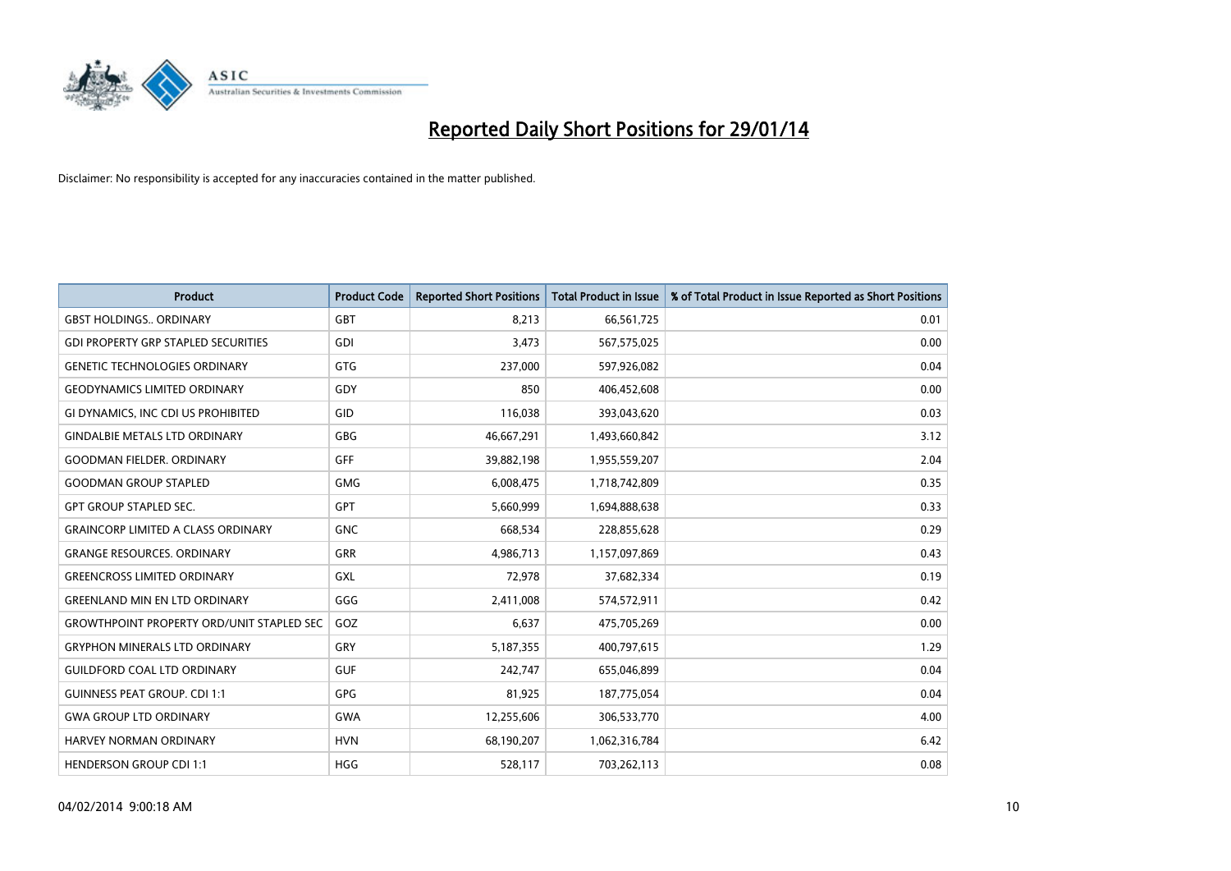

| <b>Product</b>                                   | <b>Product Code</b> | <b>Reported Short Positions</b> | <b>Total Product in Issue</b> | % of Total Product in Issue Reported as Short Positions |
|--------------------------------------------------|---------------------|---------------------------------|-------------------------------|---------------------------------------------------------|
| <b>GBST HOLDINGS., ORDINARY</b>                  | <b>GBT</b>          | 8,213                           | 66,561,725                    | 0.01                                                    |
| <b>GDI PROPERTY GRP STAPLED SECURITIES</b>       | GDI                 | 3,473                           | 567,575,025                   | 0.00                                                    |
| <b>GENETIC TECHNOLOGIES ORDINARY</b>             | <b>GTG</b>          | 237,000                         | 597,926,082                   | 0.04                                                    |
| <b>GEODYNAMICS LIMITED ORDINARY</b>              | GDY                 | 850                             | 406,452,608                   | 0.00                                                    |
| GI DYNAMICS, INC CDI US PROHIBITED               | GID                 | 116,038                         | 393,043,620                   | 0.03                                                    |
| <b>GINDALBIE METALS LTD ORDINARY</b>             | GBG                 | 46,667,291                      | 1,493,660,842                 | 3.12                                                    |
| <b>GOODMAN FIELDER, ORDINARY</b>                 | <b>GFF</b>          | 39,882,198                      | 1,955,559,207                 | 2.04                                                    |
| <b>GOODMAN GROUP STAPLED</b>                     | <b>GMG</b>          | 6,008,475                       | 1,718,742,809                 | 0.35                                                    |
| <b>GPT GROUP STAPLED SEC.</b>                    | <b>GPT</b>          | 5,660,999                       | 1,694,888,638                 | 0.33                                                    |
| <b>GRAINCORP LIMITED A CLASS ORDINARY</b>        | <b>GNC</b>          | 668,534                         | 228,855,628                   | 0.29                                                    |
| <b>GRANGE RESOURCES. ORDINARY</b>                | GRR                 | 4,986,713                       | 1,157,097,869                 | 0.43                                                    |
| <b>GREENCROSS LIMITED ORDINARY</b>               | GXL                 | 72,978                          | 37,682,334                    | 0.19                                                    |
| <b>GREENLAND MIN EN LTD ORDINARY</b>             | GGG                 | 2,411,008                       | 574,572,911                   | 0.42                                                    |
| <b>GROWTHPOINT PROPERTY ORD/UNIT STAPLED SEC</b> | GOZ                 | 6,637                           | 475,705,269                   | 0.00                                                    |
| <b>GRYPHON MINERALS LTD ORDINARY</b>             | GRY                 | 5,187,355                       | 400,797,615                   | 1.29                                                    |
| <b>GUILDFORD COAL LTD ORDINARY</b>               | <b>GUF</b>          | 242,747                         | 655,046,899                   | 0.04                                                    |
| <b>GUINNESS PEAT GROUP. CDI 1:1</b>              | GPG                 | 81,925                          | 187,775,054                   | 0.04                                                    |
| <b>GWA GROUP LTD ORDINARY</b>                    | <b>GWA</b>          | 12,255,606                      | 306,533,770                   | 4.00                                                    |
| HARVEY NORMAN ORDINARY                           | <b>HVN</b>          | 68,190,207                      | 1,062,316,784                 | 6.42                                                    |
| <b>HENDERSON GROUP CDI 1:1</b>                   | <b>HGG</b>          | 528,117                         | 703,262,113                   | 0.08                                                    |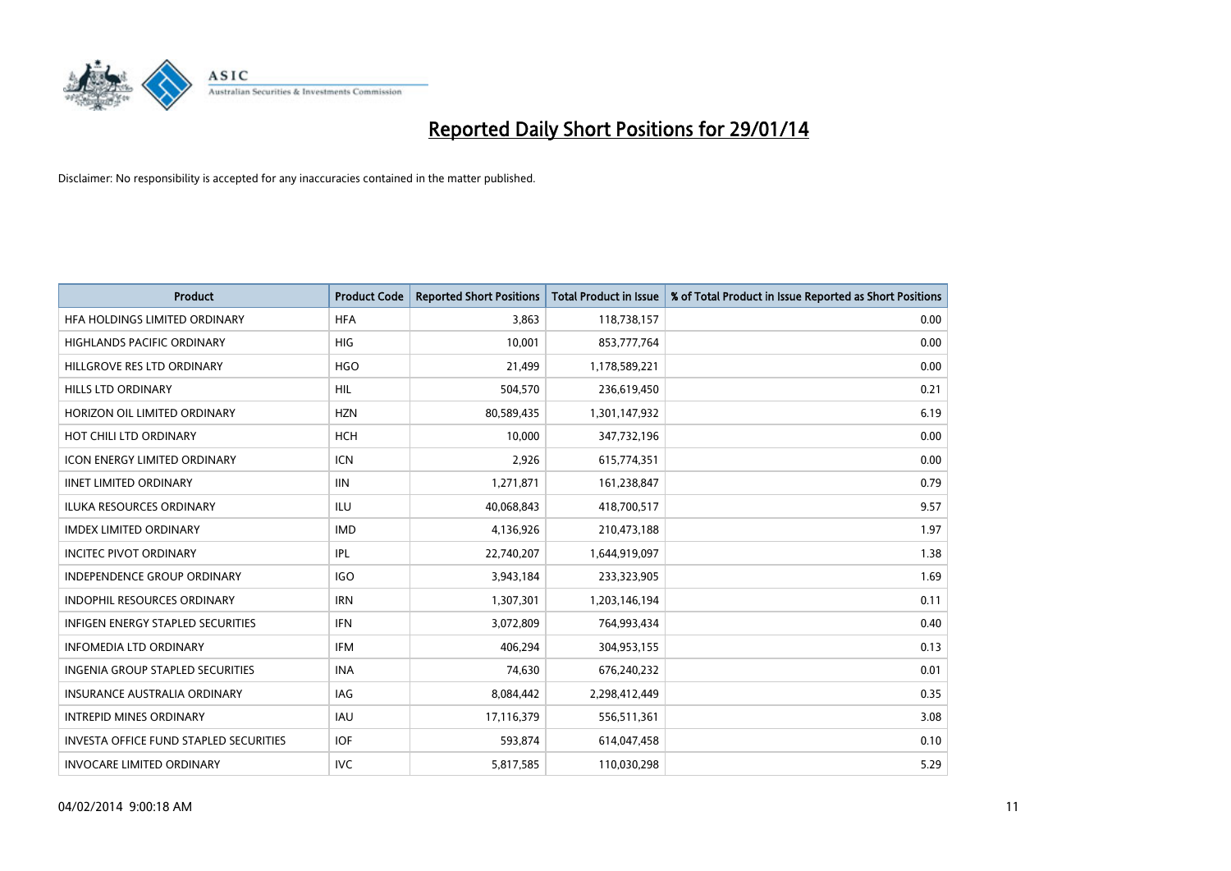

| <b>Product</b>                                | <b>Product Code</b> | <b>Reported Short Positions</b> | <b>Total Product in Issue</b> | % of Total Product in Issue Reported as Short Positions |
|-----------------------------------------------|---------------------|---------------------------------|-------------------------------|---------------------------------------------------------|
| HFA HOLDINGS LIMITED ORDINARY                 | <b>HFA</b>          | 3,863                           | 118,738,157                   | 0.00                                                    |
| HIGHLANDS PACIFIC ORDINARY                    | HIG                 | 10,001                          | 853,777,764                   | 0.00                                                    |
| HILLGROVE RES LTD ORDINARY                    | <b>HGO</b>          | 21,499                          | 1,178,589,221                 | 0.00                                                    |
| <b>HILLS LTD ORDINARY</b>                     | HIL                 | 504,570                         | 236,619,450                   | 0.21                                                    |
| HORIZON OIL LIMITED ORDINARY                  | <b>HZN</b>          | 80,589,435                      | 1,301,147,932                 | 6.19                                                    |
| HOT CHILI LTD ORDINARY                        | HCH                 | 10,000                          | 347,732,196                   | 0.00                                                    |
| <b>ICON ENERGY LIMITED ORDINARY</b>           | <b>ICN</b>          | 2,926                           | 615,774,351                   | 0.00                                                    |
| <b>IINET LIMITED ORDINARY</b>                 | <b>IIN</b>          | 1,271,871                       | 161,238,847                   | 0.79                                                    |
| <b>ILUKA RESOURCES ORDINARY</b>               | ILU                 | 40,068,843                      | 418,700,517                   | 9.57                                                    |
| <b>IMDEX LIMITED ORDINARY</b>                 | <b>IMD</b>          | 4,136,926                       | 210,473,188                   | 1.97                                                    |
| <b>INCITEC PIVOT ORDINARY</b>                 | IPL                 | 22,740,207                      | 1,644,919,097                 | 1.38                                                    |
| <b>INDEPENDENCE GROUP ORDINARY</b>            | <b>IGO</b>          | 3,943,184                       | 233,323,905                   | 1.69                                                    |
| INDOPHIL RESOURCES ORDINARY                   | <b>IRN</b>          | 1,307,301                       | 1,203,146,194                 | 0.11                                                    |
| <b>INFIGEN ENERGY STAPLED SECURITIES</b>      | <b>IFN</b>          | 3,072,809                       | 764,993,434                   | 0.40                                                    |
| <b>INFOMEDIA LTD ORDINARY</b>                 | <b>IFM</b>          | 406,294                         | 304,953,155                   | 0.13                                                    |
| INGENIA GROUP STAPLED SECURITIES              | <b>INA</b>          | 74,630                          | 676,240,232                   | 0.01                                                    |
| INSURANCE AUSTRALIA ORDINARY                  | IAG                 | 8,084,442                       | 2,298,412,449                 | 0.35                                                    |
| <b>INTREPID MINES ORDINARY</b>                | <b>IAU</b>          | 17,116,379                      | 556,511,361                   | 3.08                                                    |
| <b>INVESTA OFFICE FUND STAPLED SECURITIES</b> | <b>IOF</b>          | 593,874                         | 614,047,458                   | 0.10                                                    |
| <b>INVOCARE LIMITED ORDINARY</b>              | <b>IVC</b>          | 5,817,585                       | 110,030,298                   | 5.29                                                    |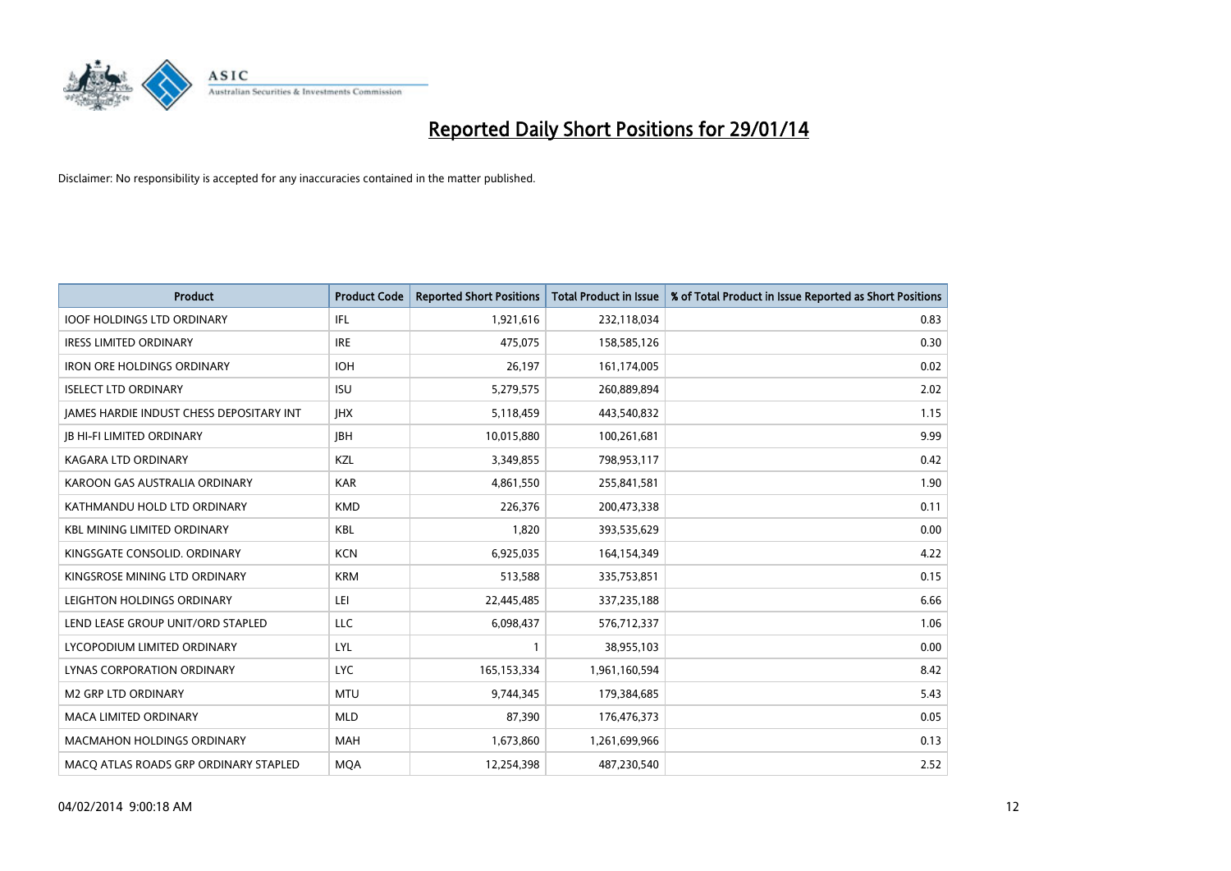

| <b>Product</b>                                  | <b>Product Code</b> | <b>Reported Short Positions</b> | <b>Total Product in Issue</b> | % of Total Product in Issue Reported as Short Positions |
|-------------------------------------------------|---------------------|---------------------------------|-------------------------------|---------------------------------------------------------|
| <b>IOOF HOLDINGS LTD ORDINARY</b>               | IFL                 | 1,921,616                       | 232,118,034                   | 0.83                                                    |
| <b>IRESS LIMITED ORDINARY</b>                   | <b>IRE</b>          | 475,075                         | 158,585,126                   | 0.30                                                    |
| <b>IRON ORE HOLDINGS ORDINARY</b>               | <b>IOH</b>          | 26,197                          | 161,174,005                   | 0.02                                                    |
| <b>ISELECT LTD ORDINARY</b>                     | <b>ISU</b>          | 5,279,575                       | 260,889,894                   | 2.02                                                    |
| <b>IAMES HARDIE INDUST CHESS DEPOSITARY INT</b> | <b>IHX</b>          | 5,118,459                       | 443,540,832                   | 1.15                                                    |
| <b>JB HI-FI LIMITED ORDINARY</b>                | <b>JBH</b>          | 10,015,880                      | 100,261,681                   | 9.99                                                    |
| <b>KAGARA LTD ORDINARY</b>                      | KZL                 | 3,349,855                       | 798,953,117                   | 0.42                                                    |
| KAROON GAS AUSTRALIA ORDINARY                   | <b>KAR</b>          | 4,861,550                       | 255,841,581                   | 1.90                                                    |
| KATHMANDU HOLD LTD ORDINARY                     | <b>KMD</b>          | 226,376                         | 200,473,338                   | 0.11                                                    |
| <b>KBL MINING LIMITED ORDINARY</b>              | <b>KBL</b>          | 1,820                           | 393,535,629                   | 0.00                                                    |
| KINGSGATE CONSOLID. ORDINARY                    | <b>KCN</b>          | 6,925,035                       | 164,154,349                   | 4.22                                                    |
| KINGSROSE MINING LTD ORDINARY                   | <b>KRM</b>          | 513,588                         | 335,753,851                   | 0.15                                                    |
| LEIGHTON HOLDINGS ORDINARY                      | LEI                 | 22,445,485                      | 337,235,188                   | 6.66                                                    |
| LEND LEASE GROUP UNIT/ORD STAPLED               | LLC                 | 6,098,437                       | 576,712,337                   | 1.06                                                    |
| LYCOPODIUM LIMITED ORDINARY                     | <b>LYL</b>          | $\mathbf{1}$                    | 38,955,103                    | 0.00                                                    |
| LYNAS CORPORATION ORDINARY                      | <b>LYC</b>          | 165, 153, 334                   | 1,961,160,594                 | 8.42                                                    |
| <b>M2 GRP LTD ORDINARY</b>                      | <b>MTU</b>          | 9,744,345                       | 179,384,685                   | 5.43                                                    |
| <b>MACA LIMITED ORDINARY</b>                    | <b>MLD</b>          | 87,390                          | 176,476,373                   | 0.05                                                    |
| <b>MACMAHON HOLDINGS ORDINARY</b>               | <b>MAH</b>          | 1,673,860                       | 1,261,699,966                 | 0.13                                                    |
| MACO ATLAS ROADS GRP ORDINARY STAPLED           | <b>MQA</b>          | 12,254,398                      | 487,230,540                   | 2.52                                                    |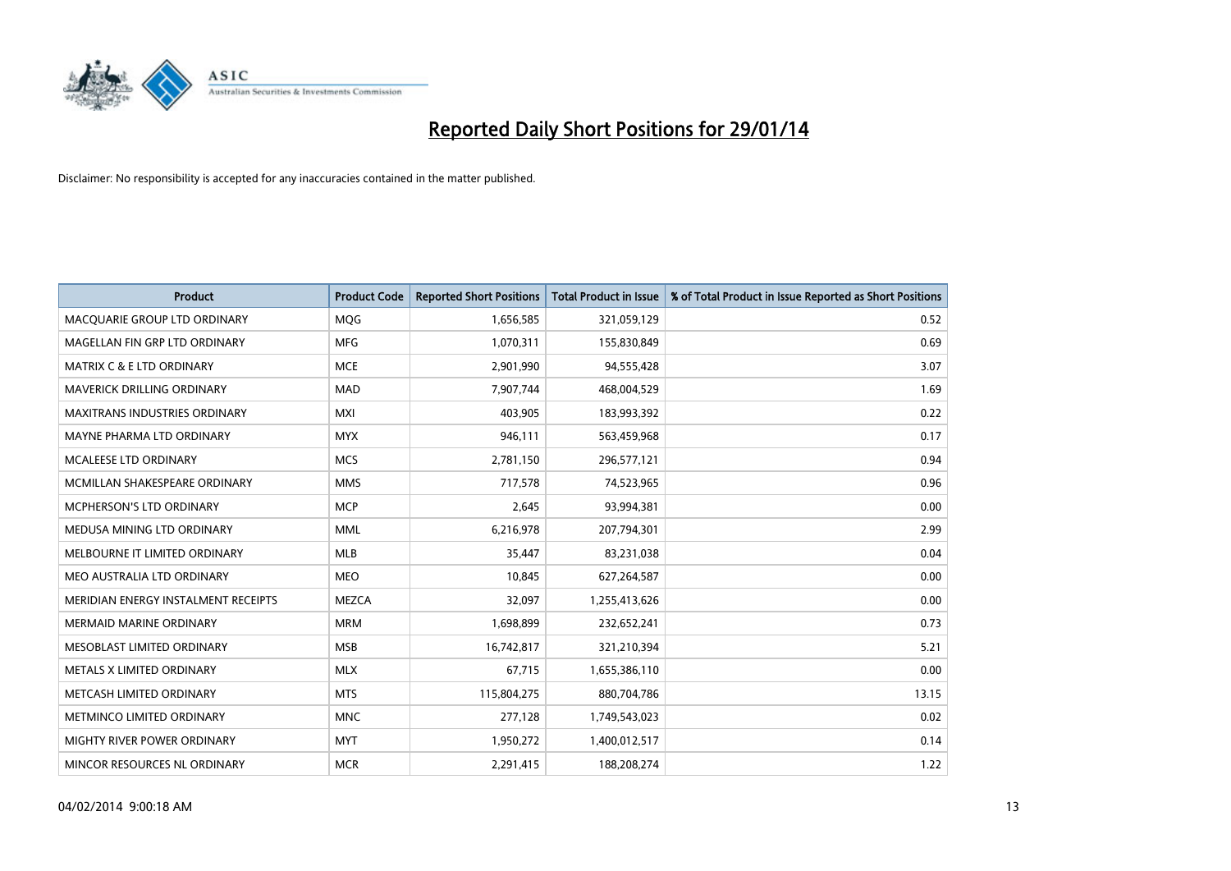

| <b>Product</b>                       | <b>Product Code</b> | <b>Reported Short Positions</b> | <b>Total Product in Issue</b> | % of Total Product in Issue Reported as Short Positions |
|--------------------------------------|---------------------|---------------------------------|-------------------------------|---------------------------------------------------------|
| MACQUARIE GROUP LTD ORDINARY         | MQG                 | 1,656,585                       | 321,059,129                   | 0.52                                                    |
| MAGELLAN FIN GRP LTD ORDINARY        | MFG                 | 1,070,311                       | 155,830,849                   | 0.69                                                    |
| <b>MATRIX C &amp; E LTD ORDINARY</b> | <b>MCE</b>          | 2,901,990                       | 94,555,428                    | 3.07                                                    |
| MAVERICK DRILLING ORDINARY           | <b>MAD</b>          | 7,907,744                       | 468,004,529                   | 1.69                                                    |
| <b>MAXITRANS INDUSTRIES ORDINARY</b> | <b>MXI</b>          | 403,905                         | 183,993,392                   | 0.22                                                    |
| MAYNE PHARMA LTD ORDINARY            | <b>MYX</b>          | 946,111                         | 563,459,968                   | 0.17                                                    |
| MCALEESE LTD ORDINARY                | <b>MCS</b>          | 2,781,150                       | 296,577,121                   | 0.94                                                    |
| MCMILLAN SHAKESPEARE ORDINARY        | <b>MMS</b>          | 717,578                         | 74,523,965                    | 0.96                                                    |
| MCPHERSON'S LTD ORDINARY             | <b>MCP</b>          | 2,645                           | 93,994,381                    | 0.00                                                    |
| MEDUSA MINING LTD ORDINARY           | <b>MML</b>          | 6,216,978                       | 207,794,301                   | 2.99                                                    |
| MELBOURNE IT LIMITED ORDINARY        | MLB                 | 35,447                          | 83,231,038                    | 0.04                                                    |
| MEO AUSTRALIA LTD ORDINARY           | <b>MEO</b>          | 10,845                          | 627,264,587                   | 0.00                                                    |
| MERIDIAN ENERGY INSTALMENT RECEIPTS  | <b>MEZCA</b>        | 32,097                          | 1,255,413,626                 | 0.00                                                    |
| <b>MERMAID MARINE ORDINARY</b>       | <b>MRM</b>          | 1,698,899                       | 232,652,241                   | 0.73                                                    |
| MESOBLAST LIMITED ORDINARY           | <b>MSB</b>          | 16,742,817                      | 321,210,394                   | 5.21                                                    |
| METALS X LIMITED ORDINARY            | <b>MLX</b>          | 67,715                          | 1,655,386,110                 | 0.00                                                    |
| METCASH LIMITED ORDINARY             | <b>MTS</b>          | 115,804,275                     | 880,704,786                   | 13.15                                                   |
| METMINCO LIMITED ORDINARY            | <b>MNC</b>          | 277,128                         | 1,749,543,023                 | 0.02                                                    |
| MIGHTY RIVER POWER ORDINARY          | <b>MYT</b>          | 1,950,272                       | 1,400,012,517                 | 0.14                                                    |
| MINCOR RESOURCES NL ORDINARY         | <b>MCR</b>          | 2,291,415                       | 188,208,274                   | 1.22                                                    |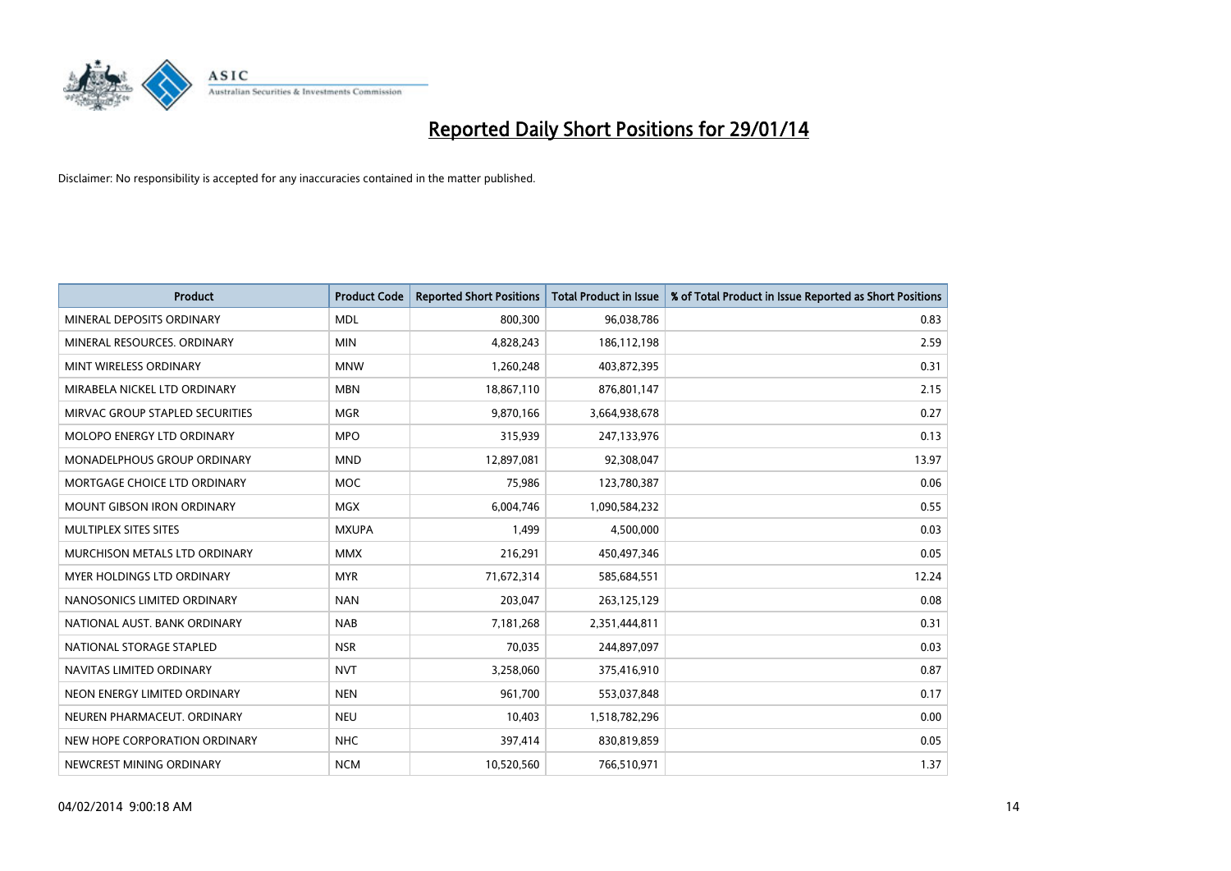

| <b>Product</b>                     | <b>Product Code</b> | <b>Reported Short Positions</b> | <b>Total Product in Issue</b> | % of Total Product in Issue Reported as Short Positions |
|------------------------------------|---------------------|---------------------------------|-------------------------------|---------------------------------------------------------|
| MINERAL DEPOSITS ORDINARY          | <b>MDL</b>          | 800,300                         | 96,038,786                    | 0.83                                                    |
| MINERAL RESOURCES, ORDINARY        | <b>MIN</b>          | 4,828,243                       | 186,112,198                   | 2.59                                                    |
| MINT WIRELESS ORDINARY             | <b>MNW</b>          | 1,260,248                       | 403,872,395                   | 0.31                                                    |
| MIRABELA NICKEL LTD ORDINARY       | <b>MBN</b>          | 18,867,110                      | 876,801,147                   | 2.15                                                    |
| MIRVAC GROUP STAPLED SECURITIES    | <b>MGR</b>          | 9,870,166                       | 3,664,938,678                 | 0.27                                                    |
| MOLOPO ENERGY LTD ORDINARY         | <b>MPO</b>          | 315,939                         | 247,133,976                   | 0.13                                                    |
| <b>MONADELPHOUS GROUP ORDINARY</b> | <b>MND</b>          | 12,897,081                      | 92,308,047                    | 13.97                                                   |
| MORTGAGE CHOICE LTD ORDINARY       | <b>MOC</b>          | 75,986                          | 123,780,387                   | 0.06                                                    |
| MOUNT GIBSON IRON ORDINARY         | <b>MGX</b>          | 6,004,746                       | 1,090,584,232                 | 0.55                                                    |
| MULTIPLEX SITES SITES              | <b>MXUPA</b>        | 1,499                           | 4,500,000                     | 0.03                                                    |
| MURCHISON METALS LTD ORDINARY      | <b>MMX</b>          | 216,291                         | 450,497,346                   | 0.05                                                    |
| MYER HOLDINGS LTD ORDINARY         | <b>MYR</b>          | 71,672,314                      | 585,684,551                   | 12.24                                                   |
| NANOSONICS LIMITED ORDINARY        | <b>NAN</b>          | 203,047                         | 263,125,129                   | 0.08                                                    |
| NATIONAL AUST, BANK ORDINARY       | <b>NAB</b>          | 7,181,268                       | 2,351,444,811                 | 0.31                                                    |
| NATIONAL STORAGE STAPLED           | <b>NSR</b>          | 70,035                          | 244,897,097                   | 0.03                                                    |
| NAVITAS LIMITED ORDINARY           | <b>NVT</b>          | 3,258,060                       | 375,416,910                   | 0.87                                                    |
| NEON ENERGY LIMITED ORDINARY       | <b>NEN</b>          | 961,700                         | 553,037,848                   | 0.17                                                    |
| NEUREN PHARMACEUT. ORDINARY        | <b>NEU</b>          | 10,403                          | 1,518,782,296                 | 0.00                                                    |
| NEW HOPE CORPORATION ORDINARY      | <b>NHC</b>          | 397,414                         | 830,819,859                   | 0.05                                                    |
| NEWCREST MINING ORDINARY           | <b>NCM</b>          | 10,520,560                      | 766,510,971                   | 1.37                                                    |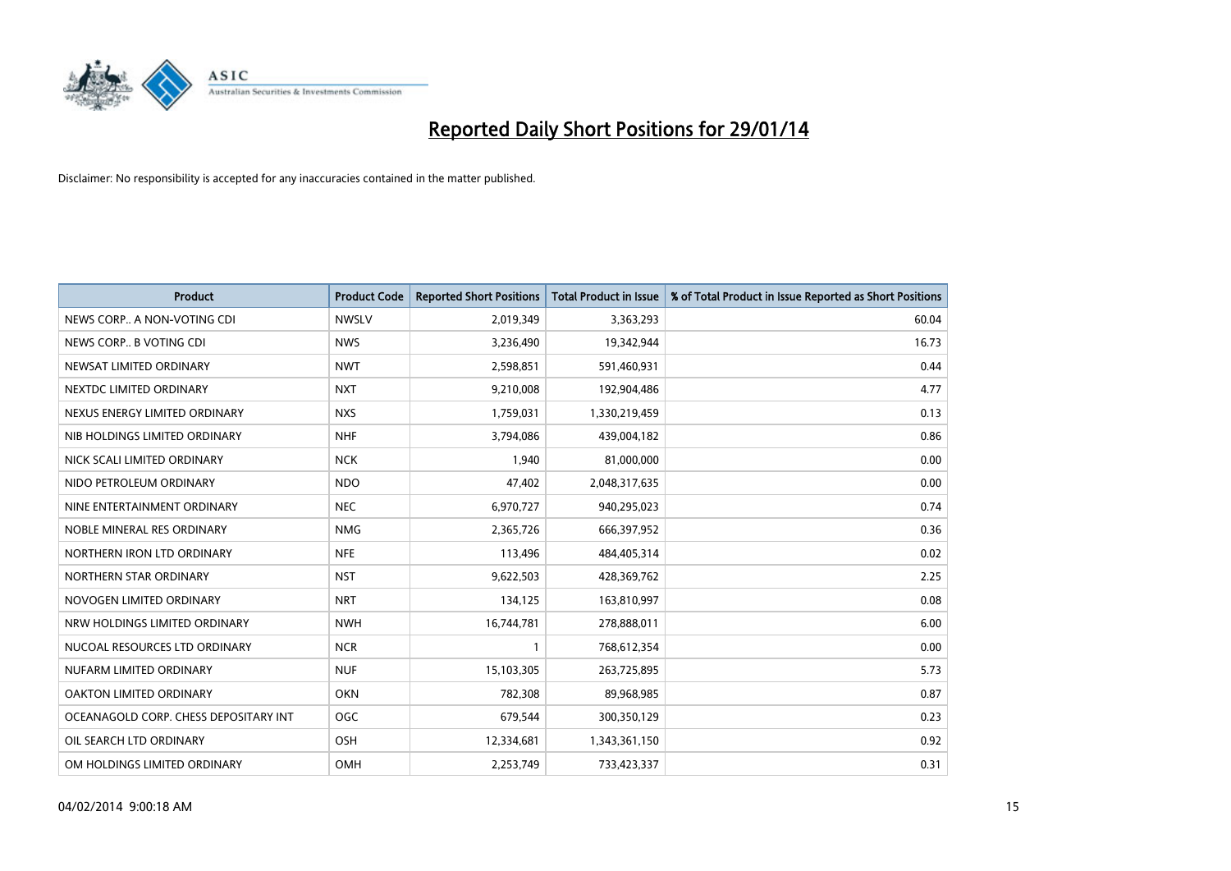

| <b>Product</b>                        | <b>Product Code</b> | <b>Reported Short Positions</b> | <b>Total Product in Issue</b> | % of Total Product in Issue Reported as Short Positions |
|---------------------------------------|---------------------|---------------------------------|-------------------------------|---------------------------------------------------------|
| NEWS CORP A NON-VOTING CDI            | <b>NWSLV</b>        | 2,019,349                       | 3,363,293                     | 60.04                                                   |
| NEWS CORP B VOTING CDI                | <b>NWS</b>          | 3,236,490                       | 19,342,944                    | 16.73                                                   |
| NEWSAT LIMITED ORDINARY               | <b>NWT</b>          | 2,598,851                       | 591,460,931                   | 0.44                                                    |
| NEXTDC LIMITED ORDINARY               | <b>NXT</b>          | 9,210,008                       | 192,904,486                   | 4.77                                                    |
| NEXUS ENERGY LIMITED ORDINARY         | <b>NXS</b>          | 1,759,031                       | 1,330,219,459                 | 0.13                                                    |
| NIB HOLDINGS LIMITED ORDINARY         | <b>NHF</b>          | 3,794,086                       | 439,004,182                   | 0.86                                                    |
| NICK SCALI LIMITED ORDINARY           | <b>NCK</b>          | 1,940                           | 81,000,000                    | 0.00                                                    |
| NIDO PETROLEUM ORDINARY               | <b>NDO</b>          | 47,402                          | 2,048,317,635                 | 0.00                                                    |
| NINE ENTERTAINMENT ORDINARY           | <b>NEC</b>          | 6,970,727                       | 940,295,023                   | 0.74                                                    |
| NOBLE MINERAL RES ORDINARY            | <b>NMG</b>          | 2,365,726                       | 666,397,952                   | 0.36                                                    |
| NORTHERN IRON LTD ORDINARY            | <b>NFE</b>          | 113,496                         | 484,405,314                   | 0.02                                                    |
| NORTHERN STAR ORDINARY                | <b>NST</b>          | 9,622,503                       | 428,369,762                   | 2.25                                                    |
| NOVOGEN LIMITED ORDINARY              | <b>NRT</b>          | 134,125                         | 163,810,997                   | 0.08                                                    |
| NRW HOLDINGS LIMITED ORDINARY         | <b>NWH</b>          | 16,744,781                      | 278,888,011                   | 6.00                                                    |
| NUCOAL RESOURCES LTD ORDINARY         | <b>NCR</b>          | $\mathbf{1}$                    | 768,612,354                   | 0.00                                                    |
| NUFARM LIMITED ORDINARY               | <b>NUF</b>          | 15,103,305                      | 263,725,895                   | 5.73                                                    |
| OAKTON LIMITED ORDINARY               | <b>OKN</b>          | 782,308                         | 89,968,985                    | 0.87                                                    |
| OCEANAGOLD CORP. CHESS DEPOSITARY INT | OGC                 | 679,544                         | 300,350,129                   | 0.23                                                    |
| OIL SEARCH LTD ORDINARY               | OSH                 | 12,334,681                      | 1,343,361,150                 | 0.92                                                    |
| OM HOLDINGS LIMITED ORDINARY          | OMH                 | 2,253,749                       | 733,423,337                   | 0.31                                                    |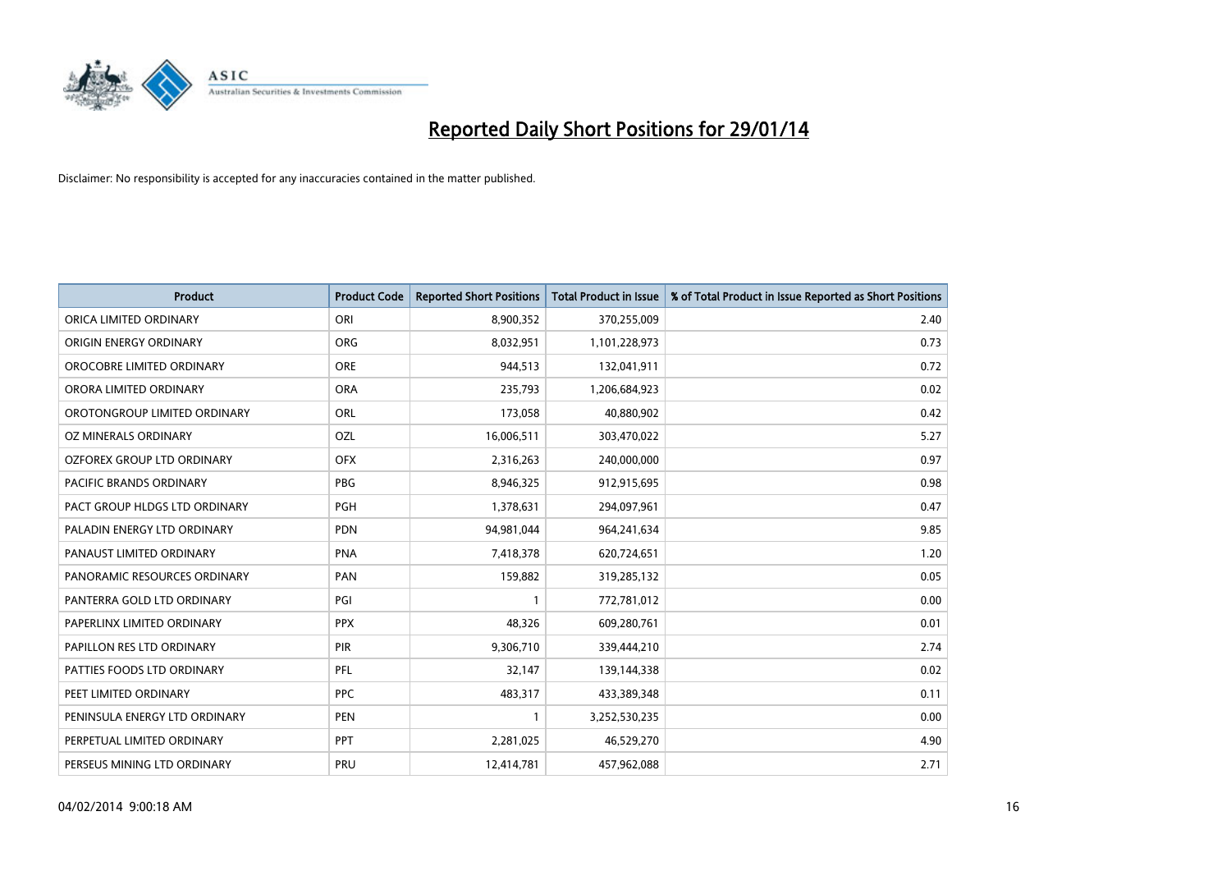

| <b>Product</b>                | <b>Product Code</b> | <b>Reported Short Positions</b> | <b>Total Product in Issue</b> | % of Total Product in Issue Reported as Short Positions |
|-------------------------------|---------------------|---------------------------------|-------------------------------|---------------------------------------------------------|
| ORICA LIMITED ORDINARY        | ORI                 | 8,900,352                       | 370,255,009                   | 2.40                                                    |
| ORIGIN ENERGY ORDINARY        | <b>ORG</b>          | 8,032,951                       | 1,101,228,973                 | 0.73                                                    |
| OROCOBRE LIMITED ORDINARY     | <b>ORE</b>          | 944,513                         | 132,041,911                   | 0.72                                                    |
| ORORA LIMITED ORDINARY        | <b>ORA</b>          | 235,793                         | 1,206,684,923                 | 0.02                                                    |
| OROTONGROUP LIMITED ORDINARY  | ORL                 | 173,058                         | 40,880,902                    | 0.42                                                    |
| OZ MINERALS ORDINARY          | OZL                 | 16,006,511                      | 303,470,022                   | 5.27                                                    |
| OZFOREX GROUP LTD ORDINARY    | <b>OFX</b>          | 2,316,263                       | 240,000,000                   | 0.97                                                    |
| PACIFIC BRANDS ORDINARY       | <b>PBG</b>          | 8,946,325                       | 912,915,695                   | 0.98                                                    |
| PACT GROUP HLDGS LTD ORDINARY | <b>PGH</b>          | 1,378,631                       | 294,097,961                   | 0.47                                                    |
| PALADIN ENERGY LTD ORDINARY   | <b>PDN</b>          | 94,981,044                      | 964,241,634                   | 9.85                                                    |
| PANAUST LIMITED ORDINARY      | <b>PNA</b>          | 7,418,378                       | 620,724,651                   | 1.20                                                    |
| PANORAMIC RESOURCES ORDINARY  | PAN                 | 159,882                         | 319,285,132                   | 0.05                                                    |
| PANTERRA GOLD LTD ORDINARY    | PGI                 | $\mathbf{1}$                    | 772,781,012                   | 0.00                                                    |
| PAPERLINX LIMITED ORDINARY    | <b>PPX</b>          | 48,326                          | 609,280,761                   | 0.01                                                    |
| PAPILLON RES LTD ORDINARY     | PIR                 | 9,306,710                       | 339,444,210                   | 2.74                                                    |
| PATTIES FOODS LTD ORDINARY    | PFL                 | 32,147                          | 139,144,338                   | 0.02                                                    |
| PEET LIMITED ORDINARY         | <b>PPC</b>          | 483,317                         | 433,389,348                   | 0.11                                                    |
| PENINSULA ENERGY LTD ORDINARY | <b>PEN</b>          | $\mathbf{1}$                    | 3,252,530,235                 | 0.00                                                    |
| PERPETUAL LIMITED ORDINARY    | <b>PPT</b>          | 2,281,025                       | 46,529,270                    | 4.90                                                    |
| PERSEUS MINING LTD ORDINARY   | PRU                 | 12,414,781                      | 457,962,088                   | 2.71                                                    |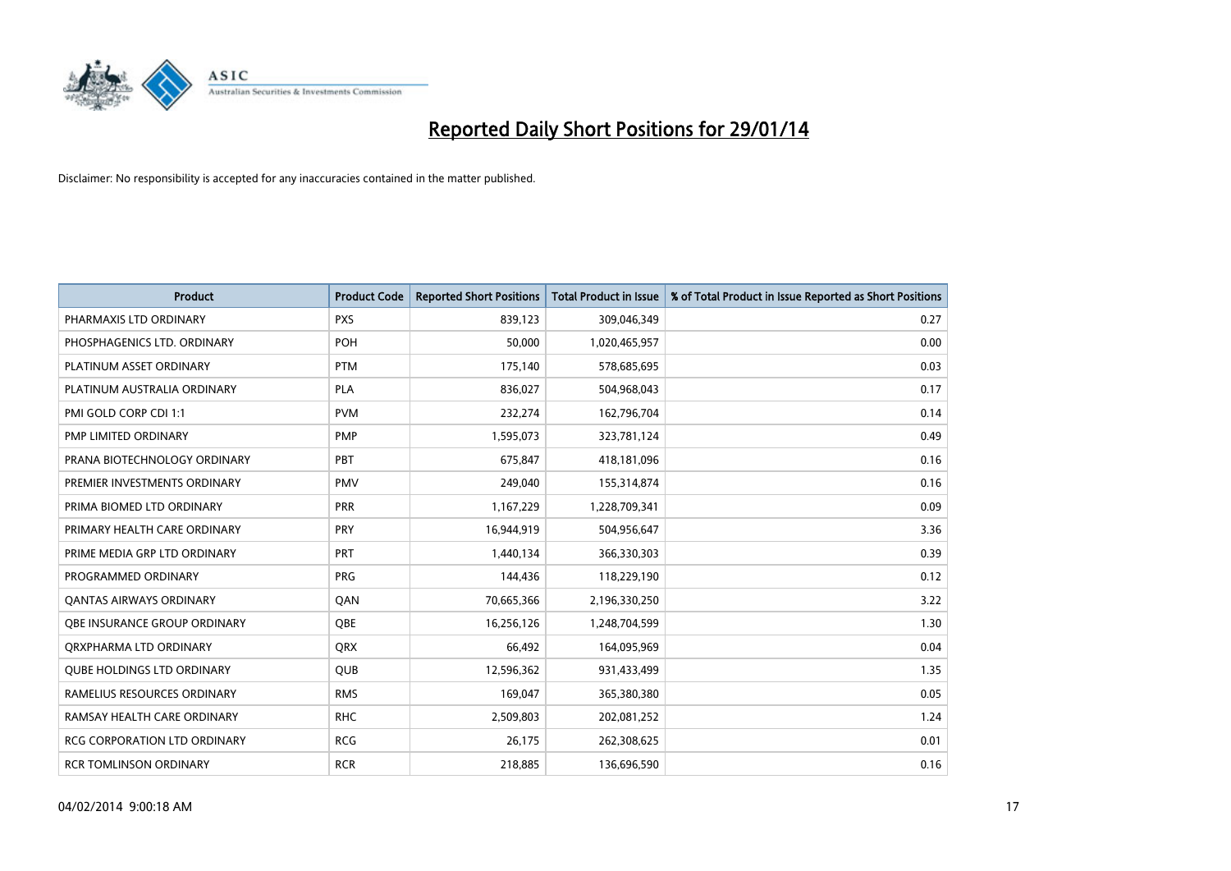

| <b>Product</b>                      | <b>Product Code</b> | <b>Reported Short Positions</b> | <b>Total Product in Issue</b> | % of Total Product in Issue Reported as Short Positions |
|-------------------------------------|---------------------|---------------------------------|-------------------------------|---------------------------------------------------------|
| PHARMAXIS LTD ORDINARY              | <b>PXS</b>          | 839,123                         | 309,046,349                   | 0.27                                                    |
| PHOSPHAGENICS LTD. ORDINARY         | <b>POH</b>          | 50,000                          | 1,020,465,957                 | 0.00                                                    |
| PLATINUM ASSET ORDINARY             | <b>PTM</b>          | 175,140                         | 578,685,695                   | 0.03                                                    |
| PLATINUM AUSTRALIA ORDINARY         | <b>PLA</b>          | 836,027                         | 504,968,043                   | 0.17                                                    |
| PMI GOLD CORP CDI 1:1               | <b>PVM</b>          | 232,274                         | 162,796,704                   | 0.14                                                    |
| PMP LIMITED ORDINARY                | <b>PMP</b>          | 1,595,073                       | 323,781,124                   | 0.49                                                    |
| PRANA BIOTECHNOLOGY ORDINARY        | PBT                 | 675,847                         | 418,181,096                   | 0.16                                                    |
| PREMIER INVESTMENTS ORDINARY        | <b>PMV</b>          | 249,040                         | 155,314,874                   | 0.16                                                    |
| PRIMA BIOMED LTD ORDINARY           | <b>PRR</b>          | 1,167,229                       | 1,228,709,341                 | 0.09                                                    |
| PRIMARY HEALTH CARE ORDINARY        | <b>PRY</b>          | 16,944,919                      | 504,956,647                   | 3.36                                                    |
| PRIME MEDIA GRP LTD ORDINARY        | <b>PRT</b>          | 1,440,134                       | 366,330,303                   | 0.39                                                    |
| PROGRAMMED ORDINARY                 | <b>PRG</b>          | 144,436                         | 118,229,190                   | 0.12                                                    |
| <b>QANTAS AIRWAYS ORDINARY</b>      | QAN                 | 70,665,366                      | 2,196,330,250                 | 3.22                                                    |
| OBE INSURANCE GROUP ORDINARY        | <b>OBE</b>          | 16,256,126                      | 1,248,704,599                 | 1.30                                                    |
| ORXPHARMA LTD ORDINARY              | <b>QRX</b>          | 66,492                          | 164,095,969                   | 0.04                                                    |
| <b>QUBE HOLDINGS LTD ORDINARY</b>   | QUB                 | 12,596,362                      | 931,433,499                   | 1.35                                                    |
| RAMELIUS RESOURCES ORDINARY         | <b>RMS</b>          | 169,047                         | 365,380,380                   | 0.05                                                    |
| RAMSAY HEALTH CARE ORDINARY         | <b>RHC</b>          | 2,509,803                       | 202,081,252                   | 1.24                                                    |
| <b>RCG CORPORATION LTD ORDINARY</b> | <b>RCG</b>          | 26,175                          | 262,308,625                   | 0.01                                                    |
| RCR TOMLINSON ORDINARY              | <b>RCR</b>          | 218,885                         | 136,696,590                   | 0.16                                                    |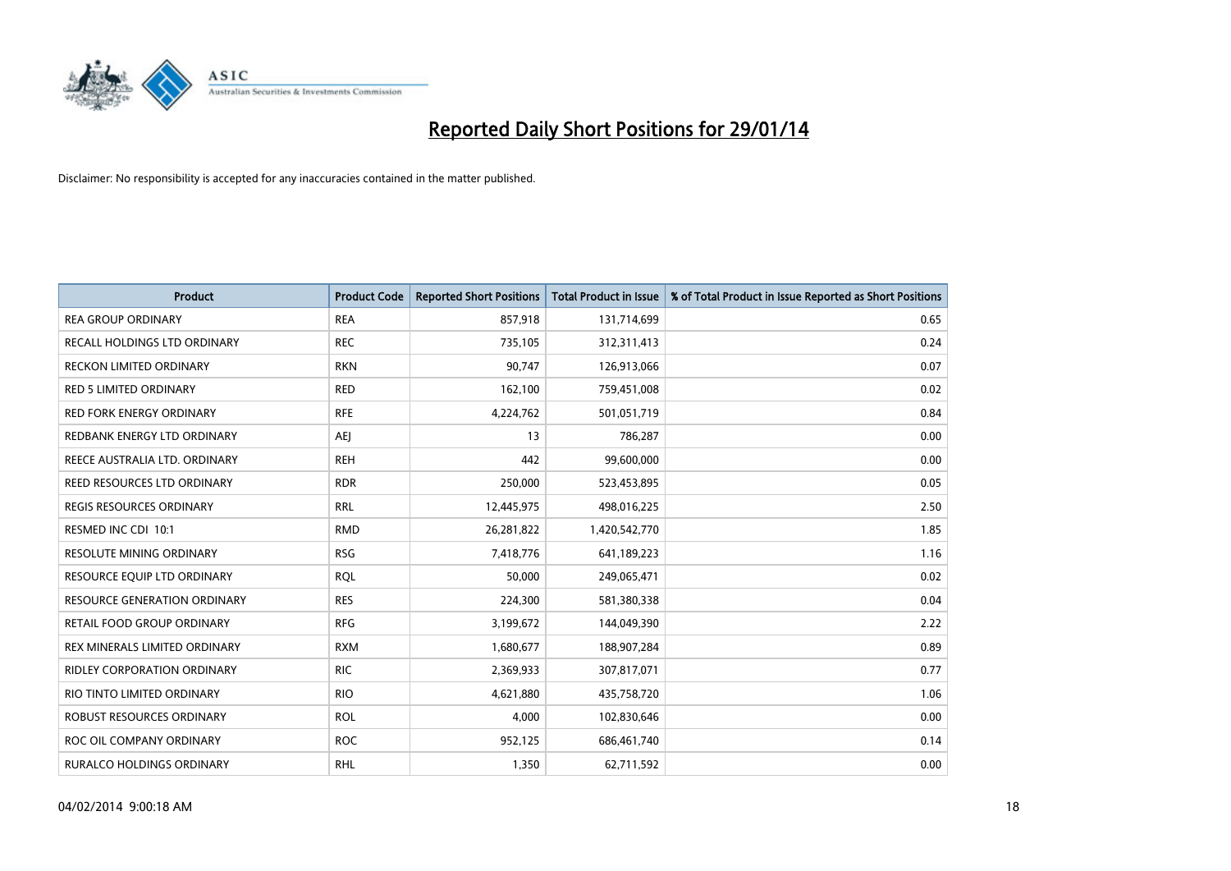

| <b>Product</b>                     | <b>Product Code</b> | <b>Reported Short Positions</b> | <b>Total Product in Issue</b> | % of Total Product in Issue Reported as Short Positions |
|------------------------------------|---------------------|---------------------------------|-------------------------------|---------------------------------------------------------|
| <b>REA GROUP ORDINARY</b>          | <b>REA</b>          | 857,918                         | 131,714,699                   | 0.65                                                    |
| RECALL HOLDINGS LTD ORDINARY       | <b>REC</b>          | 735,105                         | 312,311,413                   | 0.24                                                    |
| <b>RECKON LIMITED ORDINARY</b>     | <b>RKN</b>          | 90,747                          | 126,913,066                   | 0.07                                                    |
| <b>RED 5 LIMITED ORDINARY</b>      | <b>RED</b>          | 162,100                         | 759,451,008                   | 0.02                                                    |
| <b>RED FORK ENERGY ORDINARY</b>    | <b>RFE</b>          | 4,224,762                       | 501,051,719                   | 0.84                                                    |
| REDBANK ENERGY LTD ORDINARY        | <b>AEJ</b>          | 13                              | 786,287                       | 0.00                                                    |
| REECE AUSTRALIA LTD. ORDINARY      | <b>REH</b>          | 442                             | 99,600,000                    | 0.00                                                    |
| REED RESOURCES LTD ORDINARY        | <b>RDR</b>          | 250,000                         | 523,453,895                   | 0.05                                                    |
| REGIS RESOURCES ORDINARY           | <b>RRL</b>          | 12,445,975                      | 498,016,225                   | 2.50                                                    |
| RESMED INC CDI 10:1                | <b>RMD</b>          | 26,281,822                      | 1,420,542,770                 | 1.85                                                    |
| RESOLUTE MINING ORDINARY           | <b>RSG</b>          | 7,418,776                       | 641,189,223                   | 1.16                                                    |
| RESOURCE EQUIP LTD ORDINARY        | <b>ROL</b>          | 50,000                          | 249,065,471                   | 0.02                                                    |
| RESOURCE GENERATION ORDINARY       | <b>RES</b>          | 224,300                         | 581,380,338                   | 0.04                                                    |
| <b>RETAIL FOOD GROUP ORDINARY</b>  | <b>RFG</b>          | 3,199,672                       | 144,049,390                   | 2.22                                                    |
| REX MINERALS LIMITED ORDINARY      | <b>RXM</b>          | 1,680,677                       | 188,907,284                   | 0.89                                                    |
| <b>RIDLEY CORPORATION ORDINARY</b> | <b>RIC</b>          | 2,369,933                       | 307,817,071                   | 0.77                                                    |
| RIO TINTO LIMITED ORDINARY         | <b>RIO</b>          | 4,621,880                       | 435,758,720                   | 1.06                                                    |
| <b>ROBUST RESOURCES ORDINARY</b>   | <b>ROL</b>          | 4,000                           | 102,830,646                   | 0.00                                                    |
| ROC OIL COMPANY ORDINARY           | <b>ROC</b>          | 952,125                         | 686,461,740                   | 0.14                                                    |
| <b>RURALCO HOLDINGS ORDINARY</b>   | <b>RHL</b>          | 1,350                           | 62,711,592                    | 0.00                                                    |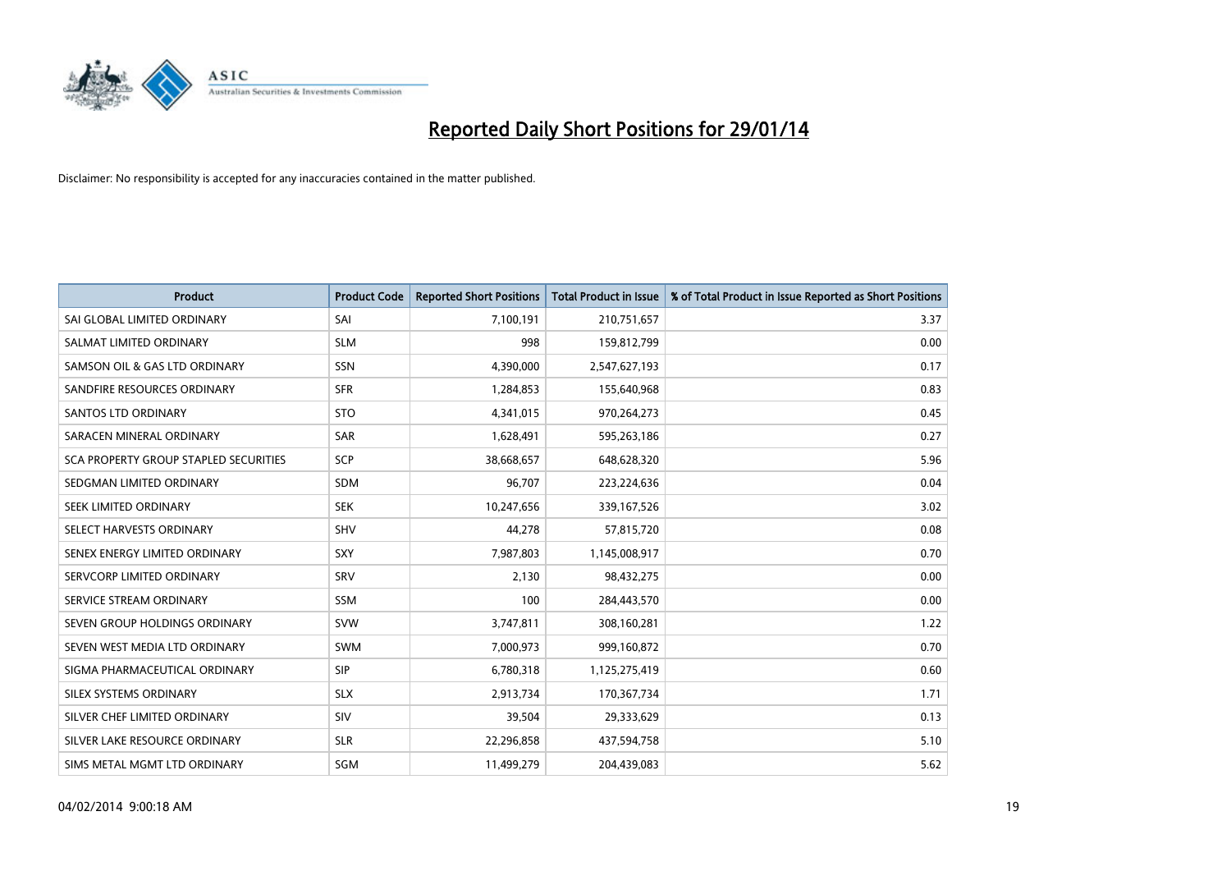

| <b>Product</b>                        | <b>Product Code</b> | <b>Reported Short Positions</b> | <b>Total Product in Issue</b> | % of Total Product in Issue Reported as Short Positions |
|---------------------------------------|---------------------|---------------------------------|-------------------------------|---------------------------------------------------------|
| SAI GLOBAL LIMITED ORDINARY           | SAI                 | 7,100,191                       | 210,751,657                   | 3.37                                                    |
| SALMAT LIMITED ORDINARY               | <b>SLM</b>          | 998                             | 159,812,799                   | 0.00                                                    |
| SAMSON OIL & GAS LTD ORDINARY         | <b>SSN</b>          | 4,390,000                       | 2,547,627,193                 | 0.17                                                    |
| SANDFIRE RESOURCES ORDINARY           | <b>SFR</b>          | 1,284,853                       | 155,640,968                   | 0.83                                                    |
| <b>SANTOS LTD ORDINARY</b>            | <b>STO</b>          | 4,341,015                       | 970,264,273                   | 0.45                                                    |
| SARACEN MINERAL ORDINARY              | <b>SAR</b>          | 1,628,491                       | 595,263,186                   | 0.27                                                    |
| SCA PROPERTY GROUP STAPLED SECURITIES | <b>SCP</b>          | 38,668,657                      | 648,628,320                   | 5.96                                                    |
| SEDGMAN LIMITED ORDINARY              | <b>SDM</b>          | 96,707                          | 223,224,636                   | 0.04                                                    |
| SEEK LIMITED ORDINARY                 | <b>SEK</b>          | 10,247,656                      | 339,167,526                   | 3.02                                                    |
| SELECT HARVESTS ORDINARY              | <b>SHV</b>          | 44,278                          | 57,815,720                    | 0.08                                                    |
| SENEX ENERGY LIMITED ORDINARY         | <b>SXY</b>          | 7,987,803                       | 1,145,008,917                 | 0.70                                                    |
| SERVCORP LIMITED ORDINARY             | SRV                 | 2,130                           | 98,432,275                    | 0.00                                                    |
| SERVICE STREAM ORDINARY               | SSM                 | 100                             | 284,443,570                   | 0.00                                                    |
| SEVEN GROUP HOLDINGS ORDINARY         | <b>SVW</b>          | 3,747,811                       | 308,160,281                   | 1.22                                                    |
| SEVEN WEST MEDIA LTD ORDINARY         | <b>SWM</b>          | 7,000,973                       | 999,160,872                   | 0.70                                                    |
| SIGMA PHARMACEUTICAL ORDINARY         | <b>SIP</b>          | 6,780,318                       | 1,125,275,419                 | 0.60                                                    |
| SILEX SYSTEMS ORDINARY                | <b>SLX</b>          | 2,913,734                       | 170,367,734                   | 1.71                                                    |
| SILVER CHEF LIMITED ORDINARY          | SIV                 | 39,504                          | 29,333,629                    | 0.13                                                    |
| SILVER LAKE RESOURCE ORDINARY         | <b>SLR</b>          | 22,296,858                      | 437,594,758                   | 5.10                                                    |
| SIMS METAL MGMT LTD ORDINARY          | SGM                 | 11,499,279                      | 204,439,083                   | 5.62                                                    |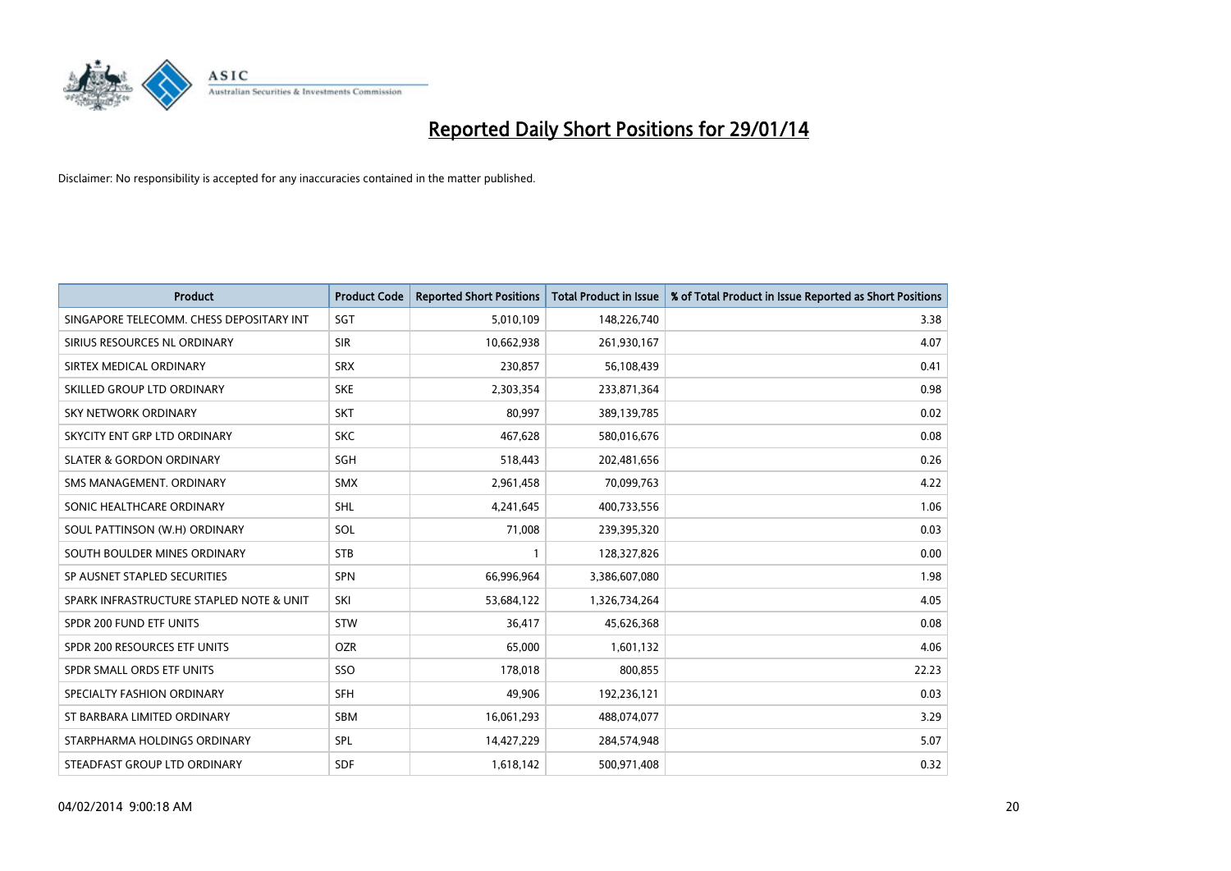

| <b>Product</b>                           | <b>Product Code</b> | <b>Reported Short Positions</b> | <b>Total Product in Issue</b> | % of Total Product in Issue Reported as Short Positions |
|------------------------------------------|---------------------|---------------------------------|-------------------------------|---------------------------------------------------------|
| SINGAPORE TELECOMM. CHESS DEPOSITARY INT | SGT                 | 5,010,109                       | 148,226,740                   | 3.38                                                    |
| SIRIUS RESOURCES NL ORDINARY             | <b>SIR</b>          | 10,662,938                      | 261,930,167                   | 4.07                                                    |
| SIRTEX MEDICAL ORDINARY                  | <b>SRX</b>          | 230,857                         | 56,108,439                    | 0.41                                                    |
| SKILLED GROUP LTD ORDINARY               | <b>SKE</b>          | 2,303,354                       | 233,871,364                   | 0.98                                                    |
| <b>SKY NETWORK ORDINARY</b>              | <b>SKT</b>          | 80,997                          | 389,139,785                   | 0.02                                                    |
| SKYCITY ENT GRP LTD ORDINARY             | <b>SKC</b>          | 467,628                         | 580,016,676                   | 0.08                                                    |
| <b>SLATER &amp; GORDON ORDINARY</b>      | SGH                 | 518,443                         | 202,481,656                   | 0.26                                                    |
| SMS MANAGEMENT, ORDINARY                 | <b>SMX</b>          | 2,961,458                       | 70,099,763                    | 4.22                                                    |
| SONIC HEALTHCARE ORDINARY                | <b>SHL</b>          | 4,241,645                       | 400,733,556                   | 1.06                                                    |
| SOUL PATTINSON (W.H) ORDINARY            | SOL                 | 71,008                          | 239,395,320                   | 0.03                                                    |
| SOUTH BOULDER MINES ORDINARY             | <b>STB</b>          |                                 | 128,327,826                   | 0.00                                                    |
| SP AUSNET STAPLED SECURITIES             | <b>SPN</b>          | 66,996,964                      | 3,386,607,080                 | 1.98                                                    |
| SPARK INFRASTRUCTURE STAPLED NOTE & UNIT | SKI                 | 53,684,122                      | 1,326,734,264                 | 4.05                                                    |
| SPDR 200 FUND ETF UNITS                  | <b>STW</b>          | 36,417                          | 45,626,368                    | 0.08                                                    |
| SPDR 200 RESOURCES ETF UNITS             | <b>OZR</b>          | 65,000                          | 1,601,132                     | 4.06                                                    |
| SPDR SMALL ORDS ETF UNITS                | SSO                 | 178,018                         | 800,855                       | 22.23                                                   |
| SPECIALTY FASHION ORDINARY               | <b>SFH</b>          | 49,906                          | 192,236,121                   | 0.03                                                    |
| ST BARBARA LIMITED ORDINARY              | <b>SBM</b>          | 16,061,293                      | 488,074,077                   | 3.29                                                    |
| STARPHARMA HOLDINGS ORDINARY             | SPL                 | 14,427,229                      | 284,574,948                   | 5.07                                                    |
| STEADFAST GROUP LTD ORDINARY             | <b>SDF</b>          | 1,618,142                       | 500,971,408                   | 0.32                                                    |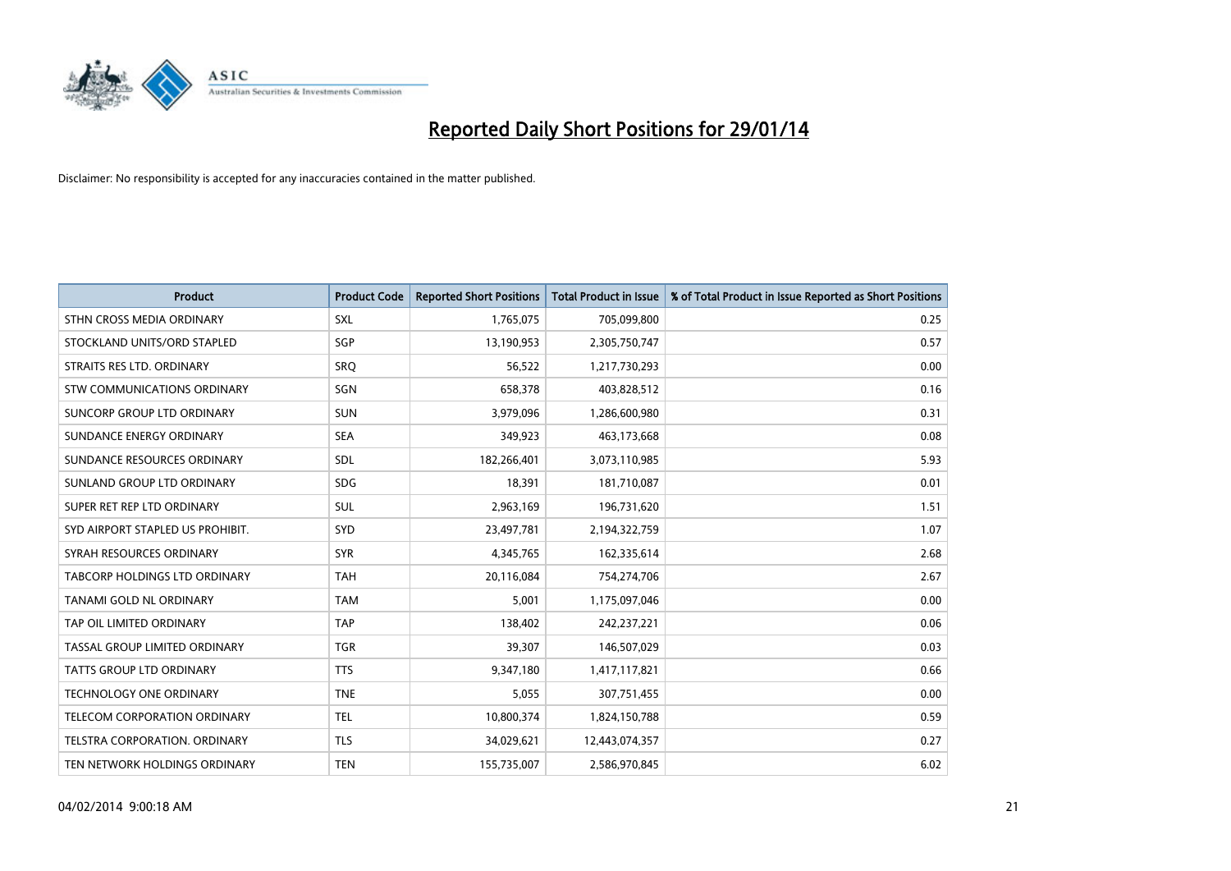

| <b>Product</b>                   | <b>Product Code</b> | <b>Reported Short Positions</b> | <b>Total Product in Issue</b> | % of Total Product in Issue Reported as Short Positions |
|----------------------------------|---------------------|---------------------------------|-------------------------------|---------------------------------------------------------|
| STHN CROSS MEDIA ORDINARY        | <b>SXL</b>          | 1,765,075                       | 705,099,800                   | 0.25                                                    |
| STOCKLAND UNITS/ORD STAPLED      | SGP                 | 13,190,953                      | 2,305,750,747                 | 0.57                                                    |
| STRAITS RES LTD. ORDINARY        | <b>SRQ</b>          | 56,522                          | 1,217,730,293                 | 0.00                                                    |
| STW COMMUNICATIONS ORDINARY      | <b>SGN</b>          | 658,378                         | 403,828,512                   | 0.16                                                    |
| SUNCORP GROUP LTD ORDINARY       | <b>SUN</b>          | 3,979,096                       | 1,286,600,980                 | 0.31                                                    |
| SUNDANCE ENERGY ORDINARY         | <b>SEA</b>          | 349,923                         | 463,173,668                   | 0.08                                                    |
| SUNDANCE RESOURCES ORDINARY      | <b>SDL</b>          | 182,266,401                     | 3,073,110,985                 | 5.93                                                    |
| SUNLAND GROUP LTD ORDINARY       | <b>SDG</b>          | 18,391                          | 181,710,087                   | 0.01                                                    |
| SUPER RET REP LTD ORDINARY       | <b>SUL</b>          | 2,963,169                       | 196,731,620                   | 1.51                                                    |
| SYD AIRPORT STAPLED US PROHIBIT. | SYD                 | 23,497,781                      | 2,194,322,759                 | 1.07                                                    |
| SYRAH RESOURCES ORDINARY         | <b>SYR</b>          | 4,345,765                       | 162,335,614                   | 2.68                                                    |
| TABCORP HOLDINGS LTD ORDINARY    | <b>TAH</b>          | 20,116,084                      | 754,274,706                   | 2.67                                                    |
| TANAMI GOLD NL ORDINARY          | <b>TAM</b>          | 5,001                           | 1,175,097,046                 | 0.00                                                    |
| TAP OIL LIMITED ORDINARY         | <b>TAP</b>          | 138,402                         | 242,237,221                   | 0.06                                                    |
| TASSAL GROUP LIMITED ORDINARY    | <b>TGR</b>          | 39,307                          | 146,507,029                   | 0.03                                                    |
| TATTS GROUP LTD ORDINARY         | <b>TTS</b>          | 9,347,180                       | 1,417,117,821                 | 0.66                                                    |
| TECHNOLOGY ONE ORDINARY          | <b>TNE</b>          | 5,055                           | 307,751,455                   | 0.00                                                    |
| TELECOM CORPORATION ORDINARY     | <b>TEL</b>          | 10,800,374                      | 1,824,150,788                 | 0.59                                                    |
| TELSTRA CORPORATION, ORDINARY    | <b>TLS</b>          | 34,029,621                      | 12,443,074,357                | 0.27                                                    |
| TEN NETWORK HOLDINGS ORDINARY    | <b>TEN</b>          | 155,735,007                     | 2,586,970,845                 | 6.02                                                    |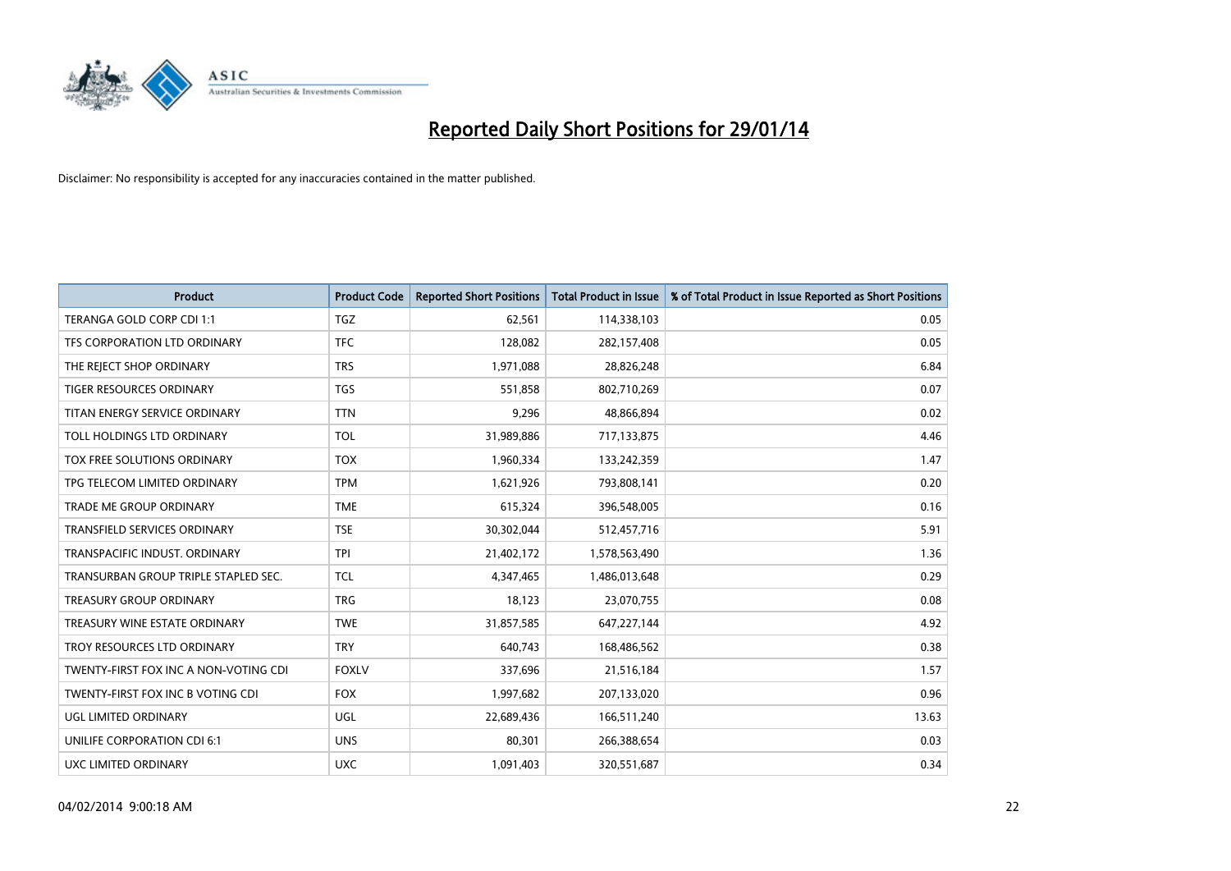

| <b>Product</b>                        | <b>Product Code</b> | <b>Reported Short Positions</b> | <b>Total Product in Issue</b> | % of Total Product in Issue Reported as Short Positions |
|---------------------------------------|---------------------|---------------------------------|-------------------------------|---------------------------------------------------------|
| TERANGA GOLD CORP CDI 1:1             | <b>TGZ</b>          | 62,561                          | 114,338,103                   | 0.05                                                    |
| TFS CORPORATION LTD ORDINARY          | <b>TFC</b>          | 128,082                         | 282,157,408                   | 0.05                                                    |
| THE REJECT SHOP ORDINARY              | <b>TRS</b>          | 1,971,088                       | 28,826,248                    | 6.84                                                    |
| <b>TIGER RESOURCES ORDINARY</b>       | <b>TGS</b>          | 551,858                         | 802,710,269                   | 0.07                                                    |
| TITAN ENERGY SERVICE ORDINARY         | <b>TTN</b>          | 9,296                           | 48,866,894                    | 0.02                                                    |
| TOLL HOLDINGS LTD ORDINARY            | <b>TOL</b>          | 31,989,886                      | 717,133,875                   | 4.46                                                    |
| TOX FREE SOLUTIONS ORDINARY           | <b>TOX</b>          | 1,960,334                       | 133,242,359                   | 1.47                                                    |
| TPG TELECOM LIMITED ORDINARY          | <b>TPM</b>          | 1,621,926                       | 793,808,141                   | 0.20                                                    |
| TRADE ME GROUP ORDINARY               | <b>TME</b>          | 615,324                         | 396,548,005                   | 0.16                                                    |
| <b>TRANSFIELD SERVICES ORDINARY</b>   | <b>TSE</b>          | 30,302,044                      | 512,457,716                   | 5.91                                                    |
| TRANSPACIFIC INDUST. ORDINARY         | <b>TPI</b>          | 21,402,172                      | 1,578,563,490                 | 1.36                                                    |
| TRANSURBAN GROUP TRIPLE STAPLED SEC.  | <b>TCL</b>          | 4,347,465                       | 1,486,013,648                 | 0.29                                                    |
| TREASURY GROUP ORDINARY               | <b>TRG</b>          | 18,123                          | 23,070,755                    | 0.08                                                    |
| TREASURY WINE ESTATE ORDINARY         | <b>TWE</b>          | 31,857,585                      | 647,227,144                   | 4.92                                                    |
| TROY RESOURCES LTD ORDINARY           | <b>TRY</b>          | 640,743                         | 168,486,562                   | 0.38                                                    |
| TWENTY-FIRST FOX INC A NON-VOTING CDI | <b>FOXLV</b>        | 337,696                         | 21,516,184                    | 1.57                                                    |
| TWENTY-FIRST FOX INC B VOTING CDI     | <b>FOX</b>          | 1,997,682                       | 207,133,020                   | 0.96                                                    |
| <b>UGL LIMITED ORDINARY</b>           | UGL                 | 22,689,436                      | 166,511,240                   | 13.63                                                   |
| UNILIFE CORPORATION CDI 6:1           | <b>UNS</b>          | 80,301                          | 266,388,654                   | 0.03                                                    |
| <b>UXC LIMITED ORDINARY</b>           | <b>UXC</b>          | 1,091,403                       | 320,551,687                   | 0.34                                                    |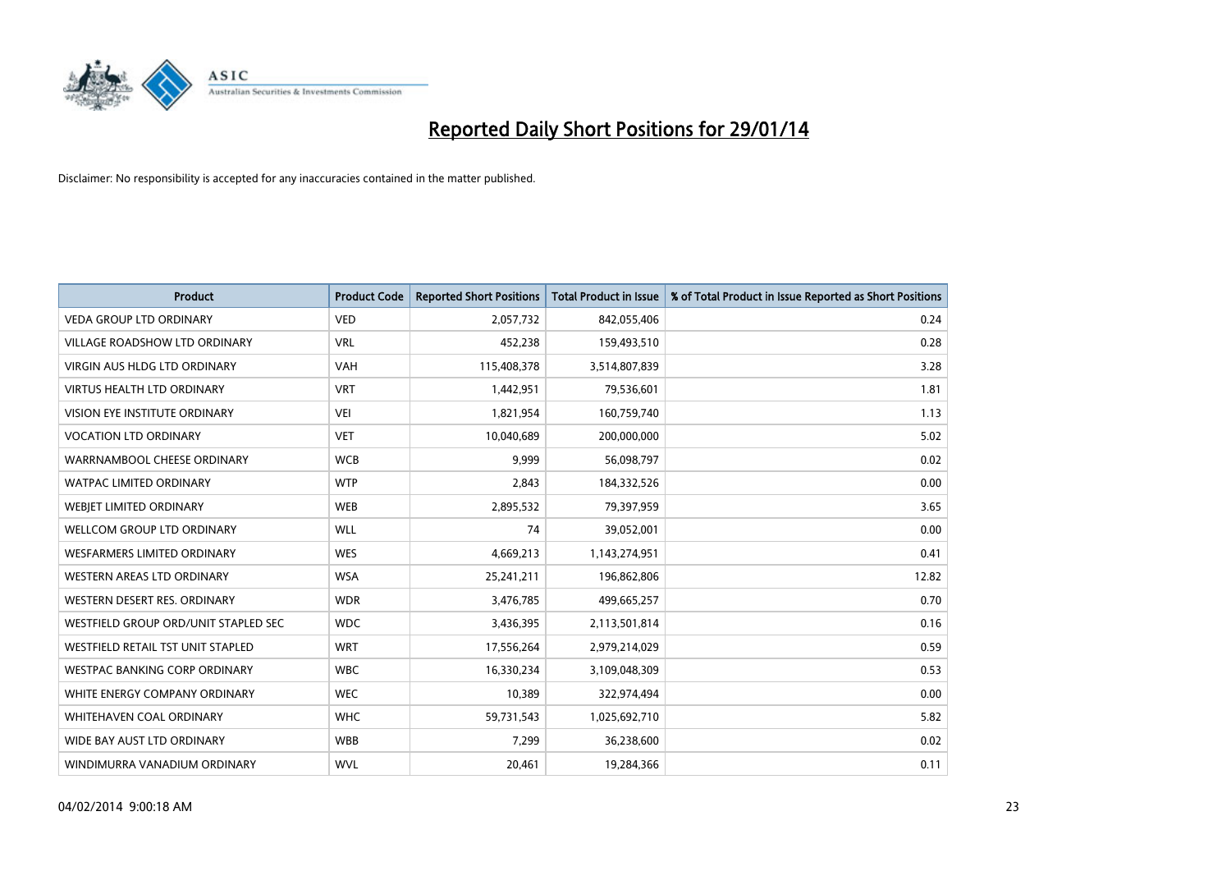

| <b>Product</b>                       | <b>Product Code</b> | <b>Reported Short Positions</b> | <b>Total Product in Issue</b> | % of Total Product in Issue Reported as Short Positions |
|--------------------------------------|---------------------|---------------------------------|-------------------------------|---------------------------------------------------------|
| <b>VEDA GROUP LTD ORDINARY</b>       | <b>VED</b>          | 2,057,732                       | 842,055,406                   | 0.24                                                    |
| <b>VILLAGE ROADSHOW LTD ORDINARY</b> | <b>VRL</b>          | 452,238                         | 159,493,510                   | 0.28                                                    |
| <b>VIRGIN AUS HLDG LTD ORDINARY</b>  | <b>VAH</b>          | 115,408,378                     | 3,514,807,839                 | 3.28                                                    |
| VIRTUS HEALTH LTD ORDINARY           | <b>VRT</b>          | 1,442,951                       | 79,536,601                    | 1.81                                                    |
| VISION EYE INSTITUTE ORDINARY        | <b>VEI</b>          | 1,821,954                       | 160,759,740                   | 1.13                                                    |
| <b>VOCATION LTD ORDINARY</b>         | <b>VET</b>          | 10,040,689                      | 200,000,000                   | 5.02                                                    |
| WARRNAMBOOL CHEESE ORDINARY          | <b>WCB</b>          | 9,999                           | 56,098,797                    | 0.02                                                    |
| WATPAC LIMITED ORDINARY              | <b>WTP</b>          | 2,843                           | 184,332,526                   | 0.00                                                    |
| <b>WEBJET LIMITED ORDINARY</b>       | <b>WEB</b>          | 2,895,532                       | 79,397,959                    | 3.65                                                    |
| <b>WELLCOM GROUP LTD ORDINARY</b>    | <b>WLL</b>          | 74                              | 39,052,001                    | 0.00                                                    |
| <b>WESFARMERS LIMITED ORDINARY</b>   | <b>WES</b>          | 4,669,213                       | 1,143,274,951                 | 0.41                                                    |
| <b>WESTERN AREAS LTD ORDINARY</b>    | <b>WSA</b>          | 25,241,211                      | 196,862,806                   | 12.82                                                   |
| WESTERN DESERT RES. ORDINARY         | <b>WDR</b>          | 3,476,785                       | 499,665,257                   | 0.70                                                    |
| WESTFIELD GROUP ORD/UNIT STAPLED SEC | <b>WDC</b>          | 3,436,395                       | 2,113,501,814                 | 0.16                                                    |
| WESTFIELD RETAIL TST UNIT STAPLED    | <b>WRT</b>          | 17,556,264                      | 2,979,214,029                 | 0.59                                                    |
| <b>WESTPAC BANKING CORP ORDINARY</b> | <b>WBC</b>          | 16,330,234                      | 3,109,048,309                 | 0.53                                                    |
| WHITE ENERGY COMPANY ORDINARY        | <b>WEC</b>          | 10,389                          | 322,974,494                   | 0.00                                                    |
| WHITEHAVEN COAL ORDINARY             | <b>WHC</b>          | 59,731,543                      | 1,025,692,710                 | 5.82                                                    |
| WIDE BAY AUST LTD ORDINARY           | <b>WBB</b>          | 7,299                           | 36,238,600                    | 0.02                                                    |
| WINDIMURRA VANADIUM ORDINARY         | <b>WVL</b>          | 20,461                          | 19,284,366                    | 0.11                                                    |